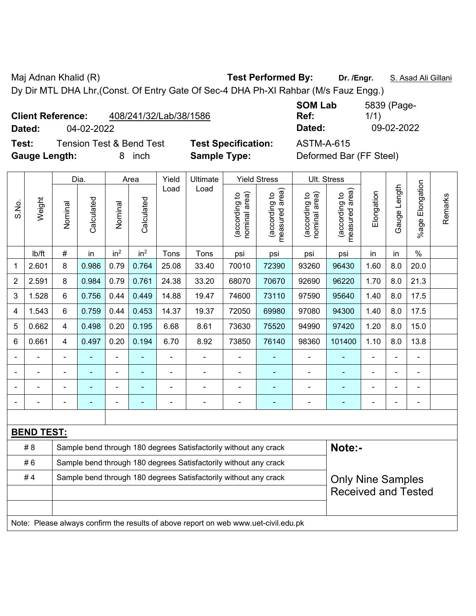Maj Adnan Khalid (R) **Test Performed By:** Dr. /Engr. **S. Asad Ali Gillani** Ali Gillani

Dy Dir MTL DHA Lhr,(Const. Of Entry Gate Of Sec-4 DHA Ph-XI Rahbar (M/s Fauz Engg.)

**Client Reference:** 408/241/32/Lab/38/1586

**Test:** Tension Test & Bend Test **Test Specification:** ASTM-A-615 **Gauge Length:** 8 inch **Sample Type:** Deformed Bar (FF Steel)

**SOM Lab Ref:**  5839 (Page-1/1) **Dated:** 04-02-2022 **Dated:** 09-02-2022

|                |                                                                                     |                                                                  | Dia.           |                 | Area            | Yield          | Ultimate                                                         |                                | <b>Yield Stress</b>                         |                                | Ult. Stress                     |            |              |                       |         |
|----------------|-------------------------------------------------------------------------------------|------------------------------------------------------------------|----------------|-----------------|-----------------|----------------|------------------------------------------------------------------|--------------------------------|---------------------------------------------|--------------------------------|---------------------------------|------------|--------------|-----------------------|---------|
| S.No.          | Weight                                                                              | Nominal                                                          | Calculated     | Nominal         | Calculated      | Load           | Load                                                             | nominal area)<br>(according to | (according to<br>neasured area)<br>measured | nominal area)<br>(according to | (according to<br>measured area) | Elongation | Gauge Length | Elongation<br>$%$ age | Remarks |
|                | Ib/ft                                                                               | $\#$                                                             | in             | in <sup>2</sup> | in <sup>2</sup> | Tons           | Tons                                                             | psi                            | psi                                         | psi                            | psi                             | in         | in           | $\%$                  |         |
| 1              | 2.601                                                                               | 8                                                                | 0.986          | 0.79            | 0.764           | 25.08          | 33.40                                                            | 70010                          | 72390                                       | 93260                          | 96430                           | 1.60       | 8.0          | 20.0                  |         |
| $\overline{2}$ | 2.591                                                                               | 8                                                                | 0.984          | 0.79            | 0.761           | 24.38          | 33.20                                                            | 68070                          | 70670                                       | 92690                          | 96220                           | 1.70       | 8.0          | 21.3                  |         |
| 3              | 1.528                                                                               | 6                                                                | 0.756          | 0.44            | 0.449           | 14.88          | 19.47                                                            | 74600                          | 73110                                       | 97590                          | 95640                           | 1.40       | 8.0          | 17.5                  |         |
| $\overline{4}$ | 1.543                                                                               | 6                                                                | 0.759          | 0.44            | 0.453           | 14.37          | 19.37                                                            | 72050                          | 69980                                       | 97080                          | 94300                           | 1.40       | 8.0          | 17.5                  |         |
| 5              | 0.662                                                                               | $\overline{4}$                                                   | 0.498          | 0.20            | 0.195           | 6.68           | 8.61                                                             | 73630                          | 75520                                       | 94990                          | 97420                           | 1.20       | 8.0          | 15.0                  |         |
| 6              | 0.661                                                                               | $\overline{4}$                                                   | 0.497          | 0.20            | 0.194           | 6.70           | 8.92                                                             | 73850                          | 76140                                       | 98360                          | 101400                          | 1.10       | 8.0          | 13.8                  |         |
|                |                                                                                     |                                                                  |                |                 |                 |                |                                                                  |                                |                                             |                                |                                 |            |              |                       |         |
|                |                                                                                     |                                                                  | ÷              | ÷,              |                 | ÷              | ÷,                                                               | $\blacksquare$                 | ٠                                           | ÷                              | ä,                              | ÷          |              | ÷,                    |         |
| ۰              |                                                                                     | $\overline{\phantom{0}}$                                         | $\blacksquare$ | ÷               | ٠               | $\blacksquare$ | ÷,                                                               | $\qquad \qquad \blacksquare$   | $\overline{\phantom{0}}$                    | $\overline{a}$                 | ۰                               | ÷          |              | ۰                     |         |
| $\blacksquare$ | ä,                                                                                  | $\blacksquare$                                                   | ÷,             | $\frac{1}{2}$   | $\overline{a}$  | $\blacksquare$ | ÷,                                                               | $\blacksquare$                 | ٠                                           | ÷                              | ä,                              | ä,         |              | $\blacksquare$        |         |
|                |                                                                                     |                                                                  |                |                 |                 |                |                                                                  |                                |                                             |                                |                                 |            |              |                       |         |
|                | <b>BEND TEST:</b>                                                                   |                                                                  |                |                 |                 |                |                                                                  |                                |                                             |                                |                                 |            |              |                       |         |
|                | #8                                                                                  |                                                                  |                |                 |                 |                | Sample bend through 180 degrees Satisfactorily without any crack |                                |                                             |                                | Note:-                          |            |              |                       |         |
|                | #6                                                                                  | Sample bend through 180 degrees Satisfactorily without any crack |                |                 |                 |                |                                                                  |                                |                                             |                                |                                 |            |              |                       |         |
|                | #4                                                                                  |                                                                  |                |                 |                 |                | Sample bend through 180 degrees Satisfactorily without any crack |                                |                                             |                                | <b>Only Nine Samples</b>        |            |              |                       |         |
|                |                                                                                     |                                                                  |                |                 |                 |                |                                                                  |                                |                                             |                                | <b>Received and Tested</b>      |            |              |                       |         |
|                |                                                                                     |                                                                  |                |                 |                 |                |                                                                  |                                |                                             |                                |                                 |            |              |                       |         |
|                | Note: Please always confirm the results of above report on web www.uet-civil.edu.pk |                                                                  |                |                 |                 |                |                                                                  |                                |                                             |                                |                                 |            |              |                       |         |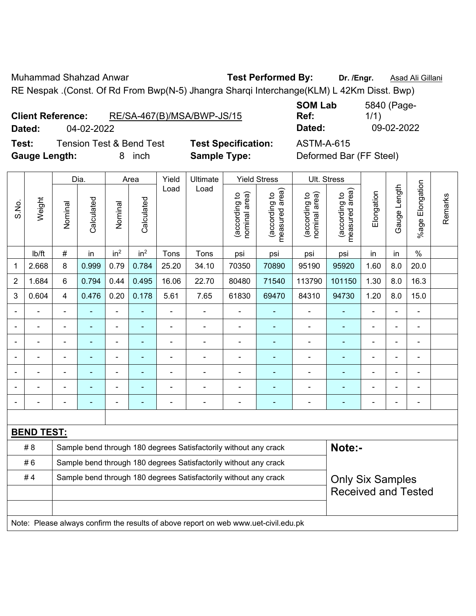Muhammad Shahzad Anwar **Test Performed By: Dr. /Engr.** Asad Ali Gillani

RE Nespak .(Const. Of Rd From Bwp(N-5) Jhangra Sharqi Interchange(KLM) L 42Km Disst. Bwp)

| <b>Client Reference:</b> | RE/SA-467(B)/MSA/BWP-JS/15 |
|--------------------------|----------------------------|
|                          |                            |

**Test:** Tension Test & Bend Test **Test Specification:** ASTM-A-615 **Gauge Length:** 8 inch **Sample Type:** Deformed Bar (FF Steel)

**SOM Lab Ref:**  5840 (Page-1/1) **Dated:** 04-02-2022 **Dated:** 09-02-2022

|                |                   |                                                                  | Dia.                     |                 | Area                     | Yield<br>Ultimate        |                                                                                     |                                | <b>Yield Stress</b>             | Ult. Stress                    |                                 |                |                |                          |         |
|----------------|-------------------|------------------------------------------------------------------|--------------------------|-----------------|--------------------------|--------------------------|-------------------------------------------------------------------------------------|--------------------------------|---------------------------------|--------------------------------|---------------------------------|----------------|----------------|--------------------------|---------|
| S.No.          | Weight            | Nominal                                                          | Calculated               | Nominal         | Calculated               | Load                     | Load                                                                                | nominal area)<br>(according to | (according to<br>measured area) | nominal area)<br>(according to | (according to<br>measured area) | Elongation     | Gauge Length   | Elongation<br>$%$ age    | Remarks |
|                | lb/ft             | $\#$                                                             | in                       | in <sup>2</sup> | in <sup>2</sup>          | Tons                     | Tons                                                                                | psi                            | psi                             | psi                            | psi                             | in             | in             | $\%$                     |         |
| $\mathbf{1}$   | 2.668             | $\,8\,$                                                          | 0.999                    | 0.79            | 0.784                    | 25.20                    | 34.10                                                                               | 70350                          | 70890                           | 95190                          | 95920                           | 1.60           | 8.0            | 20.0                     |         |
| $\overline{2}$ | 1.684             | 6                                                                | 0.794                    | 0.44            | 0.495                    | 16.06                    | 22.70                                                                               | 80480                          | 71540                           | 113790                         | 101150                          | 1.30           | 8.0            | 16.3                     |         |
| 3              | 0.604             | $\overline{4}$                                                   | 0.476                    | 0.20            | 0.178                    | 5.61                     | 7.65                                                                                | 61830                          | 69470                           | 84310                          | 94730                           | 1.20           | 8.0            | 15.0                     |         |
|                |                   | ä,                                                               | $\blacksquare$           | ä,              | ä,                       | ÷,                       |                                                                                     | $\blacksquare$                 | Ξ                               | $\blacksquare$                 | ÷,                              |                |                | $\blacksquare$           |         |
|                |                   |                                                                  |                          | $\overline{a}$  |                          | Ě.                       | $\overline{\phantom{0}}$                                                            | $\blacksquare$                 | ÷,                              | $\blacksquare$                 | $\blacksquare$                  |                |                | ä,                       |         |
|                |                   | Ē,                                                               |                          |                 |                          | Ē,                       |                                                                                     | $\blacksquare$                 |                                 | $\blacksquare$                 | $\blacksquare$                  |                |                | Ē,                       |         |
|                |                   | $\blacksquare$                                                   |                          | ۰               |                          | $\blacksquare$           | $\blacksquare$                                                                      | $\blacksquare$                 | ۰                               | $\blacksquare$                 | ٠                               |                |                | $\blacksquare$           |         |
|                | ۰                 | $\blacksquare$                                                   | ۰                        | $\blacksquare$  | ٠                        | $\overline{\phantom{0}}$ | $\blacksquare$                                                                      | $\blacksquare$                 |                                 | $\blacksquare$                 | $\overline{\phantom{0}}$        | $\blacksquare$ | $\blacksquare$ | $\overline{\phantom{a}}$ |         |
|                |                   | $\blacksquare$                                                   | ۰                        | $\blacksquare$  |                          | Ē,                       | $\blacksquare$                                                                      | $\blacksquare$                 | ۰                               | $\blacksquare$                 | $\blacksquare$                  |                |                | $\blacksquare$           |         |
|                |                   | $\blacksquare$                                                   | $\overline{\phantom{0}}$ | $\overline{a}$  | $\overline{\phantom{0}}$ | ۰                        | $\blacksquare$                                                                      | $\blacksquare$                 | ÷                               | $\blacksquare$                 | ٠                               |                |                | $\blacksquare$           |         |
|                |                   |                                                                  |                          |                 |                          |                          |                                                                                     |                                |                                 |                                |                                 |                |                |                          |         |
|                | <b>BEND TEST:</b> |                                                                  |                          |                 |                          |                          |                                                                                     |                                |                                 |                                |                                 |                |                |                          |         |
|                | #8                |                                                                  |                          |                 |                          |                          | Sample bend through 180 degrees Satisfactorily without any crack                    |                                |                                 |                                | Note:-                          |                |                |                          |         |
|                | #6                | Sample bend through 180 degrees Satisfactorily without any crack |                          |                 |                          |                          |                                                                                     |                                |                                 |                                |                                 |                |                |                          |         |
|                | #4                |                                                                  |                          |                 |                          |                          | Sample bend through 180 degrees Satisfactorily without any crack                    |                                |                                 |                                | <b>Only Six Samples</b>         |                |                |                          |         |
|                |                   |                                                                  |                          |                 |                          |                          |                                                                                     |                                |                                 |                                | <b>Received and Tested</b>      |                |                |                          |         |
|                |                   |                                                                  |                          |                 |                          |                          |                                                                                     |                                |                                 |                                |                                 |                |                |                          |         |
|                |                   |                                                                  |                          |                 |                          |                          | Note: Please always confirm the results of above report on web www.uet-civil.edu.pk |                                |                                 |                                |                                 |                |                |                          |         |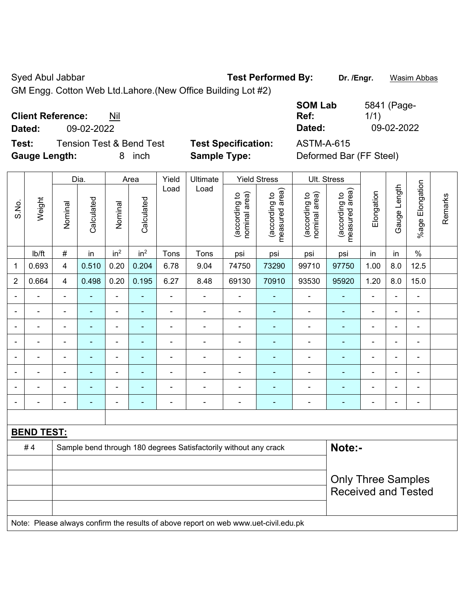Syed Abul Jabbar **Test Performed By:** Dr. /Engr. **Wasim Abbas** 

GM Engg. Cotton Web Ltd.Lahore.(New Office Building Lot #2)

**Client Reference:** Nil

**Test:** Tension Test & Bend Test **Test Specification:** ASTM-A-615 **Gauge Length:** 8 inch **Sample Type:** Deformed Bar (FF Steel)

**SOM Lab Ref:**  5841 (Page-1/1) **Dated:** 09-02-2022 **Dated:** 09-02-2022

|                |                   |                | Dia.       |                              | Area                     | Yield          | Ultimate                                                                            |                                | <b>Yield Stress</b>             |                                | Ult. Stress                     |                |                |                          |         |
|----------------|-------------------|----------------|------------|------------------------------|--------------------------|----------------|-------------------------------------------------------------------------------------|--------------------------------|---------------------------------|--------------------------------|---------------------------------|----------------|----------------|--------------------------|---------|
| S.No.          | Weight            | Nominal        | Calculated | Nominal                      | Calculated               | Load           | Load                                                                                | nominal area)<br>(according to | (according to<br>measured area) | (according to<br>nominal area) | measured area)<br>(according to | Elongation     | Gauge Length   | %age Elongation          | Remarks |
|                | lb/ft             | $\#$           | in         | in <sup>2</sup>              | in <sup>2</sup>          | Tons           | Tons                                                                                | psi                            | psi                             | psi                            | psi                             | in             | in             | $\%$                     |         |
| $\mathbf 1$    | 0.693             | 4              | 0.510      | 0.20                         | 0.204                    | 6.78           | 9.04                                                                                | 74750                          | 73290                           | 99710                          | 97750                           | 1.00           | 8.0            | 12.5                     |         |
| $\overline{2}$ | 0.664             | $\overline{4}$ | 0.498      | 0.20                         | 0.195                    | 6.27           | 8.48                                                                                | 69130                          | 70910                           | 93530                          | 95920                           | 1.20           | 8.0            | 15.0                     |         |
|                |                   |                |            | $\blacksquare$               | $\overline{\phantom{a}}$ |                |                                                                                     | $\blacksquare$                 |                                 |                                |                                 |                |                | ä,                       |         |
|                |                   | ä,             | ۰          | ÷                            | ۰                        | $\blacksquare$ | $\blacksquare$                                                                      | $\blacksquare$                 | $\blacksquare$                  | $\blacksquare$                 | $\blacksquare$                  | $\blacksquare$ | $\blacksquare$ |                          |         |
|                |                   | $\blacksquare$ | ÷          | ÷                            | ۰                        | $\blacksquare$ | $\blacksquare$                                                                      | $\overline{\phantom{a}}$       | $\blacksquare$                  | $\overline{\phantom{a}}$       | $\blacksquare$                  | $\blacksquare$ | $\blacksquare$ | $\overline{\phantom{a}}$ |         |
|                |                   | $\blacksquare$ | ۰          | $\qquad \qquad \blacksquare$ | ۰                        |                |                                                                                     | $\overline{\phantom{a}}$       | $\blacksquare$                  | ä,                             | $\blacksquare$                  | $\blacksquare$ | $\blacksquare$ | $\blacksquare$           |         |
|                | $\blacksquare$    | $\blacksquare$ | ä,         | $\frac{1}{2}$                | ÷                        | $\blacksquare$ | $\blacksquare$                                                                      | $\blacksquare$                 | $\blacksquare$                  | ÷                              | $\blacksquare$                  | $\blacksquare$ | $\blacksquare$ | L,                       |         |
|                |                   |                |            | $\blacksquare$               |                          |                |                                                                                     |                                |                                 |                                |                                 |                |                | $\blacksquare$           |         |
|                |                   |                |            |                              |                          |                |                                                                                     |                                |                                 |                                |                                 |                |                | $\blacksquare$           |         |
| ۰              |                   | ä,             | ÷          | ÷                            | ÷                        |                | $\blacksquare$                                                                      | $\overline{\phantom{a}}$       | $\blacksquare$                  | $\overline{a}$                 | $\blacksquare$                  | ۰              | $\blacksquare$ | $\blacksquare$           |         |
|                |                   |                |            |                              |                          |                |                                                                                     |                                |                                 |                                |                                 |                |                |                          |         |
|                | <b>BEND TEST:</b> |                |            |                              |                          |                |                                                                                     |                                |                                 |                                |                                 |                |                |                          |         |
|                | #4                |                |            |                              |                          |                | Sample bend through 180 degrees Satisfactorily without any crack                    |                                |                                 |                                | Note:-                          |                |                |                          |         |
|                |                   |                |            |                              |                          |                |                                                                                     |                                |                                 |                                |                                 |                |                |                          |         |
|                |                   |                |            |                              |                          |                |                                                                                     |                                |                                 |                                | <b>Only Three Samples</b>       |                |                |                          |         |
|                |                   |                |            |                              |                          |                |                                                                                     |                                |                                 |                                | <b>Received and Tested</b>      |                |                |                          |         |
|                |                   |                |            |                              |                          |                | Note: Please always confirm the results of above report on web www.uet-civil.edu.pk |                                |                                 |                                |                                 |                |                |                          |         |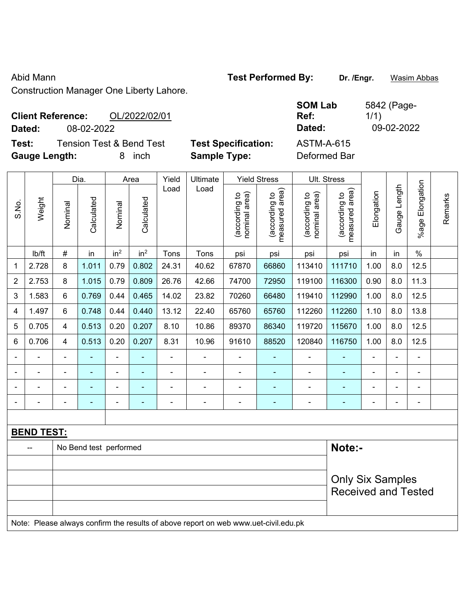## Abid Mann **Test Performed By:** Dr. /Engr. **Wasim Abbas Company of Test Performed By:**

Construction Manager One Liberty Lahore.

| <b>Client Reference:</b> |            | OL/2022/02/01                       |                            | <b>SOM Lab</b><br>Ref: | 5842 (Page-<br>1/1) |
|--------------------------|------------|-------------------------------------|----------------------------|------------------------|---------------------|
| Dated:                   | 08-02-2022 |                                     |                            | Dated:                 | 09-02-2022          |
| Test:                    |            | <b>Tension Test &amp; Bend Test</b> | <b>Test Specification:</b> | ASTM-A-615             |                     |
| <b>Gauge Length:</b>     |            | inch                                | <b>Sample Type:</b>        | Deformed Bar           |                     |

|                |                   |                | Dia.                   |                 | Area                     | Yield          | Ultimate                                                                            |                                | <b>Yield Stress</b>             |                                | Ult. Stress                     |            |                |                       |         |
|----------------|-------------------|----------------|------------------------|-----------------|--------------------------|----------------|-------------------------------------------------------------------------------------|--------------------------------|---------------------------------|--------------------------------|---------------------------------|------------|----------------|-----------------------|---------|
| S.No.          | Weight            | Nominal        | Calculated             | Nominal         | Calculated               | Load           | Load                                                                                | nominal area)<br>(according to | (according to<br>measured area) | nominal area)<br>(according to | measured area)<br>(according to | Elongation | Gauge Length   | Elongation<br>$%$ age | Remarks |
|                | lb/ft             | $\#$           | in                     | in <sup>2</sup> | in <sup>2</sup>          | Tons           | Tons                                                                                | psi                            | psi                             | psi                            | psi                             | in         | in             | $\frac{0}{0}$         |         |
| 1              | 2.728             | 8              | 1.011                  | 0.79            | 0.802                    | 24.31          | 40.62                                                                               | 67870                          | 66860                           | 113410                         | 111710                          | 1.00       | 8.0            | 12.5                  |         |
| $\overline{2}$ | 2.753             | 8              | 1.015                  | 0.79            | 0.809                    | 26.76          | 42.66                                                                               | 74700                          | 72950                           | 119100                         | 116300                          | 0.90       | 8.0            | 11.3                  |         |
| 3              | 1.583             | 6              | 0.769                  | 0.44            | 0.465                    | 14.02          | 23.82                                                                               | 70260                          | 66480                           | 119410                         | 112990                          | 1.00       | 8.0            | 12.5                  |         |
| 4              | 1.497             | 6              | 0.748                  | 0.44            | 0.440                    | 13.12          | 22.40                                                                               | 65760                          | 65760                           | 112260                         | 112260                          | 1.10       | 8.0            | 13.8                  |         |
| 5              | 0.705             | 4              | 0.513                  | 0.20            | 0.207                    | 8.10           | 10.86                                                                               | 89370                          | 86340                           | 119720                         | 115670                          | 1.00       | 8.0            | 12.5                  |         |
| 6              | 0.706             | $\overline{4}$ | 0.513                  | 0.20            | 0.207                    | 8.31           | 10.96                                                                               | 91610                          | 88520                           | 120840                         | 116750                          | 1.00       | 8.0            | 12.5                  |         |
|                | ä,                | $\blacksquare$ | $\blacksquare$         | $\blacksquare$  |                          | ä,             | ÷                                                                                   |                                | $\blacksquare$                  | ÷,                             | ÷,                              |            |                | $\blacksquare$        |         |
|                | $\blacksquare$    | $\blacksquare$ | $\blacksquare$         | $\blacksquare$  | $\overline{\phantom{a}}$ | $\blacksquare$ | $\blacksquare$                                                                      | $\overline{\phantom{a}}$       | $\blacksquare$                  | $\blacksquare$                 | $\blacksquare$                  |            | $\blacksquare$ | $\blacksquare$        |         |
|                |                   |                | $\blacksquare$         | $\blacksquare$  |                          |                | $\blacksquare$                                                                      | $\blacksquare$                 | $\blacksquare$                  | $\blacksquare$                 | ä,                              |            |                | $\blacksquare$        |         |
|                |                   |                |                        | ÷               |                          |                |                                                                                     | $\blacksquare$                 | ÷                               |                                | ä,                              |            |                | $\blacksquare$        |         |
|                |                   |                |                        |                 |                          |                |                                                                                     |                                |                                 |                                |                                 |            |                |                       |         |
|                | <b>BEND TEST:</b> |                |                        |                 |                          |                |                                                                                     |                                |                                 |                                |                                 |            |                |                       |         |
|                |                   |                | No Bend test performed |                 |                          |                |                                                                                     |                                |                                 |                                | Note:-                          |            |                |                       |         |
|                |                   |                |                        |                 |                          |                |                                                                                     |                                |                                 |                                |                                 |            |                |                       |         |
|                |                   |                |                        |                 |                          |                |                                                                                     |                                |                                 |                                | <b>Only Six Samples</b>         |            |                |                       |         |
|                |                   |                |                        |                 |                          |                |                                                                                     |                                |                                 |                                | <b>Received and Tested</b>      |            |                |                       |         |
|                |                   |                |                        |                 |                          |                |                                                                                     |                                |                                 |                                |                                 |            |                |                       |         |
|                |                   |                |                        |                 |                          |                | Note: Please always confirm the results of above report on web www.uet-civil.edu.pk |                                |                                 |                                |                                 |            |                |                       |         |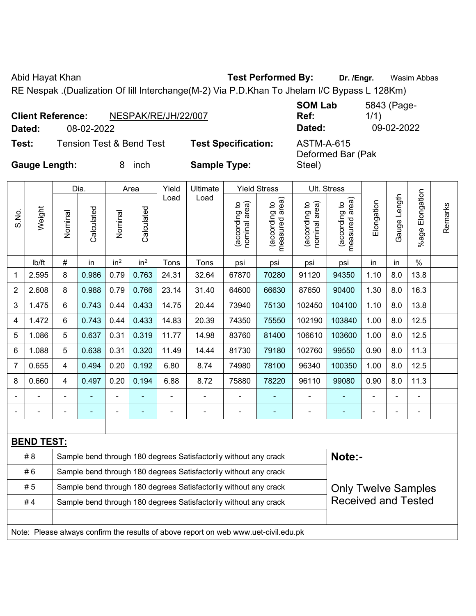Abid Hayat Khan **Test Performed By:** Dr. /Engr. **Wasim Abbas** 

RE Nespak .(Dualization Of Iill Interchange(M-2) Via P.D.Khan To Jhelam I/C Bypass L 128Km)

|                      | <b>Client Reference:</b> | NESPAK/RE/JH/22/007                 |                            | <b>SOM Lab</b><br>Ref:          | 5843 (Page-<br>1/1) |
|----------------------|--------------------------|-------------------------------------|----------------------------|---------------------------------|---------------------|
| Dated:               | 08-02-2022               |                                     |                            | Dated:                          | 09-02-2022          |
| Test:                |                          | <b>Tension Test &amp; Bend Test</b> | <b>Test Specification:</b> | ASTM-A-615<br>Deformed Bar (Pak |                     |
| <b>Gauge Length:</b> |                          | inch                                | <b>Sample Type:</b>        | Steel)                          |                     |

|                |                   |                                                                  | Dia.                                                                       |                 | Area            | Yield          | Ultimate                                                                            |                                | <b>Yield Stress</b>             |                                | Ult. Stress                     |            |              |                      |         |
|----------------|-------------------|------------------------------------------------------------------|----------------------------------------------------------------------------|-----------------|-----------------|----------------|-------------------------------------------------------------------------------------|--------------------------------|---------------------------------|--------------------------------|---------------------------------|------------|--------------|----------------------|---------|
| S.No.          | Weight            | Nominal                                                          | Calculated                                                                 | Nominal         | Calculated      | Load           | Load                                                                                | nominal area)<br>(according to | (according to<br>measured area) | nominal area)<br>(according to | measured area)<br>(according to | Elongation | Gauge Length | Elongation<br>%age l | Remarks |
|                | lb/ft             | #                                                                | in                                                                         | in <sup>2</sup> | in <sup>2</sup> | Tons           | Tons                                                                                | psi                            | psi                             | psi                            | psi                             | in         | in           | $\%$                 |         |
| 1              | 2.595             | 8                                                                | 0.986                                                                      | 0.79            | 0.763           | 24.31          | 32.64                                                                               | 67870                          | 70280                           | 91120                          | 94350                           | 1.10       | 8.0          | 13.8                 |         |
| $\overline{2}$ | 2.608             | 8                                                                | 0.988                                                                      | 0.79            | 0.766           | 23.14          | 31.40                                                                               | 64600                          | 66630                           | 87650                          | 90400                           | 1.30       | 8.0          | 16.3                 |         |
| 3              | 1.475             | 6                                                                | 0.743                                                                      | 0.44            | 0.433           | 14.75          | 20.44                                                                               | 73940                          | 75130                           | 102450                         | 104100                          | 1.10       | 8.0          | 13.8                 |         |
| 4              | 1.472             | 6                                                                | 0.743                                                                      | 0.44            | 0.433           | 14.83          | 20.39                                                                               | 74350                          | 75550                           | 102190                         | 103840                          | 1.00       | 8.0          | 12.5                 |         |
| 5              | 1.086             | 5                                                                | 0.637                                                                      | 0.31            | 0.319           | 11.77          | 14.98                                                                               | 83760                          | 81400                           | 106610                         | 103600                          | 1.00       | 8.0          | 12.5                 |         |
| 6              | 1.088             | 5                                                                | 0.638                                                                      | 0.31            | 0.320           | 11.49          | 14.44                                                                               | 81730                          | 79180                           | 102760                         | 99550                           | 0.90       | 8.0          | 11.3                 |         |
| 7              | 0.655             | 4                                                                | 0.494                                                                      | 0.20            | 0.192           | 6.80           | 8.74                                                                                | 74980                          | 78100                           | 96340                          | 100350                          | 1.00       | 8.0          | 12.5                 |         |
| 8              | 0.660             | 4                                                                | 0.497                                                                      | 0.20            | 0.194           | 6.88           | 8.72                                                                                | 75880                          | 78220                           | 96110                          | 99080                           | 0.90       | 8.0          | 11.3                 |         |
|                |                   |                                                                  | $\blacksquare$                                                             | $\blacksquare$  |                 |                |                                                                                     | $\overline{\phantom{0}}$       | $\overline{\phantom{0}}$        | $\overline{\phantom{a}}$       | $\blacksquare$                  |            | ÷            | $\overline{a}$       |         |
|                |                   | L,                                                               | ä,                                                                         | $\blacksquare$  | ٠               | $\blacksquare$ | ÷                                                                                   | $\blacksquare$                 | $\blacksquare$                  | $\blacksquare$                 | $\blacksquare$                  | ۰          | ÷            | $\blacksquare$       |         |
|                |                   |                                                                  |                                                                            |                 |                 |                |                                                                                     |                                |                                 |                                |                                 |            |              |                      |         |
|                | <b>BEND TEST:</b> |                                                                  |                                                                            |                 |                 |                |                                                                                     |                                |                                 |                                |                                 |            |              |                      |         |
|                | # 8               |                                                                  | Note:-<br>Sample bend through 180 degrees Satisfactorily without any crack |                 |                 |                |                                                                                     |                                |                                 |                                |                                 |            |              |                      |         |
|                | #6                | Sample bend through 180 degrees Satisfactorily without any crack |                                                                            |                 |                 |                |                                                                                     |                                |                                 |                                |                                 |            |              |                      |         |
|                | #5                |                                                                  |                                                                            |                 |                 |                | Sample bend through 180 degrees Satisfactorily without any crack                    |                                |                                 |                                | <b>Only Twelve Samples</b>      |            |              |                      |         |
|                | #4                |                                                                  |                                                                            |                 |                 |                | Sample bend through 180 degrees Satisfactorily without any crack                    |                                |                                 |                                | <b>Received and Tested</b>      |            |              |                      |         |
|                |                   |                                                                  |                                                                            |                 |                 |                |                                                                                     |                                |                                 |                                |                                 |            |              |                      |         |
|                |                   |                                                                  |                                                                            |                 |                 |                | Note: Please always confirm the results of above report on web www.uet-civil.edu.pk |                                |                                 |                                |                                 |            |              |                      |         |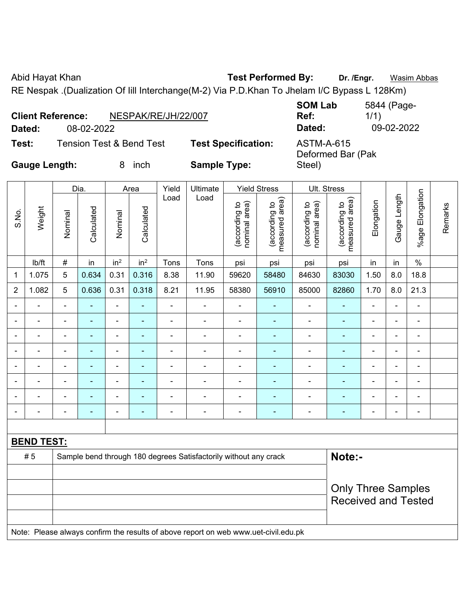Abid Hayat Khan **Test Performed By:** Dr. /Engr. **Wasim Abbas** 

RE Nespak .(Dualization Of Iill Interchange(M-2) Via P.D.Khan To Jhelam I/C Bypass L 128Km)

|                      | <b>Client Reference:</b> | NESPAK/RE/JH/22/007      |                            | <b>SOM Lab</b><br>Ref:                 | 5844 (Page-<br>1/1) |
|----------------------|--------------------------|--------------------------|----------------------------|----------------------------------------|---------------------|
| Dated:               | 08-02-2022               |                          |                            | Dated:                                 | 09-02-2022          |
| Test:                |                          | Tension Test & Bend Test | <b>Test Specification:</b> | <b>ASTM-A-615</b><br>Deformed Bar (Pak |                     |
| <b>Gauge Length:</b> |                          | inch                     | <b>Sample Type:</b>        | Steel)                                 |                     |

|                |                   |                          | Dia.           |                          | Area            | Yield          | Ultimate                                                         |                                | <b>Yield Stress</b>             | Ult. Stress                    |                                 |                          |                |                          |         |
|----------------|-------------------|--------------------------|----------------|--------------------------|-----------------|----------------|------------------------------------------------------------------|--------------------------------|---------------------------------|--------------------------------|---------------------------------|--------------------------|----------------|--------------------------|---------|
| S.No.          | Weight            | Nominal                  | Calculated     | Nominal                  | Calculated      | Load           | Load                                                             | nominal area)<br>(according to | measured area)<br>(according to | nominal area)<br>(according to | measured area)<br>(according to | Elongation               | Gauge Length   | %age Elongation          | Remarks |
|                | lb/ft             | $\#$                     | in             | in <sup>2</sup>          | in <sup>2</sup> | Tons           | Tons                                                             | psi                            | psi                             | psi                            | psi                             | in                       | in             | $\%$                     |         |
| $\mathbf 1$    | 1.075             | 5                        | 0.634          | 0.31                     | 0.316           | 8.38           | 11.90                                                            | 59620                          | 58480                           | 84630                          | 83030                           | 1.50                     | 8.0            | 18.8                     |         |
| $\overline{2}$ | 1.082             | 5                        | 0.636          | 0.31                     | 0.318           | 8.21           | 11.95                                                            | 58380                          | 56910                           | 85000                          | 82860                           | 1.70                     | 8.0            | 21.3                     |         |
| $\blacksquare$ |                   | $\blacksquare$           | $\blacksquare$ | $\blacksquare$           | $\blacksquare$  | $\blacksquare$ | $\blacksquare$                                                   | $\overline{\phantom{a}}$       | $\blacksquare$                  | ۰                              | $\blacksquare$                  | $\blacksquare$           | $\blacksquare$ | $\overline{\phantom{a}}$ |         |
| $\blacksquare$ |                   | $\blacksquare$           | $\blacksquare$ | $\blacksquare$           | $\blacksquare$  | $\blacksquare$ | $\blacksquare$                                                   | $\blacksquare$                 | $\blacksquare$                  | ۰                              | $\blacksquare$                  | $\overline{\phantom{0}}$ | $\blacksquare$ | $\blacksquare$           |         |
| $\blacksquare$ |                   | $\overline{\phantom{a}}$ | $\blacksquare$ | $\blacksquare$           | $\blacksquare$  | $\blacksquare$ | $\blacksquare$                                                   | $\qquad \qquad \blacksquare$   | $\overline{\phantom{0}}$        | ۰                              | ٠                               | $\blacksquare$           | $\blacksquare$ | $\blacksquare$           |         |
| $\blacksquare$ |                   | $\blacksquare$           |                | $\overline{\phantom{0}}$ | ÷               | ٠              | ٠                                                                | $\blacksquare$                 | ÷                               | ۰                              | Ē.                              | $\overline{\phantom{0}}$ | ÷              | $\blacksquare$           |         |
| $\blacksquare$ |                   | $\blacksquare$           |                | $\overline{\phantom{0}}$ |                 | $\blacksquare$ | $\overline{\phantom{0}}$                                         | $\blacksquare$                 | ÷                               | ۰                              | ٠                               |                          | ä,             | $\blacksquare$           |         |
| $\blacksquare$ |                   | $\blacksquare$           | $\blacksquare$ | $\blacksquare$           | ۰               | Ē,             | $\overline{\phantom{a}}$                                         | $\overline{a}$                 | ÷                               | $\qquad \qquad \blacksquare$   | ٠                               | $\overline{a}$           | $\blacksquare$ | $\blacksquare$           |         |
|                |                   | -                        |                |                          |                 |                |                                                                  |                                |                                 |                                |                                 |                          | -              | $\blacksquare$           |         |
| $\blacksquare$ |                   | $\blacksquare$           | $\blacksquare$ | $\overline{\phantom{0}}$ | $\blacksquare$  | $\blacksquare$ | $\blacksquare$                                                   | $\blacksquare$                 | $\overline{\phantom{0}}$        | ۰                              | $\blacksquare$                  | $\blacksquare$           | ä,             | $\blacksquare$           |         |
|                |                   |                          |                |                          |                 |                |                                                                  |                                |                                 |                                |                                 |                          |                |                          |         |
|                | <b>BEND TEST:</b> |                          |                |                          |                 |                |                                                                  |                                |                                 |                                |                                 |                          |                |                          |         |
|                | #5                |                          |                |                          |                 |                | Sample bend through 180 degrees Satisfactorily without any crack |                                |                                 |                                | Note:-                          |                          |                |                          |         |
|                |                   |                          |                |                          |                 |                |                                                                  |                                |                                 |                                |                                 |                          |                |                          |         |
|                |                   |                          |                |                          |                 |                |                                                                  |                                |                                 |                                | <b>Only Three Samples</b>       |                          |                |                          |         |
|                |                   |                          |                |                          |                 |                |                                                                  |                                |                                 |                                | <b>Received and Tested</b>      |                          |                |                          |         |

Note: Please always confirm the results of above report on web www.uet-civil.edu.pk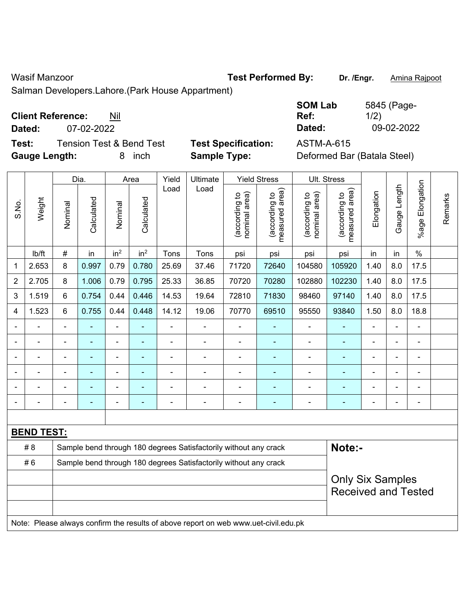Wasif Manzoor **Test Performed By:** Dr. /Engr. **Amina Rajpoot Wasif Manzoor** 

Salman Developers.Lahore.(Park House Appartment)

| <b>Client Reference:</b> | Nil |
|--------------------------|-----|
|--------------------------|-----|

**Dated:** 07-02-2022 **Dated:** 09-02-2022

**Test:** Tension Test & Bend Test **Test Specification:** ASTM-A-615 **Gauge Length:** 8 inch **Sample Type:** Deformed Bar (Batala Steel)

| <b>SOM Lab</b> | 5845 (Page- |
|----------------|-------------|
| Ref:           | 1/2)        |
| Dated:         | 09-02-2022  |

|                |                   |                | Dia.           |                          | Area                    | Yield          | Ultimate                                                                            |                                | <b>Yield Stress</b>             |                                | Ult. Stress                     |                            |                |                       |         |
|----------------|-------------------|----------------|----------------|--------------------------|-------------------------|----------------|-------------------------------------------------------------------------------------|--------------------------------|---------------------------------|--------------------------------|---------------------------------|----------------------------|----------------|-----------------------|---------|
| S.No.          | Weight            | Nominal        | Calculated     | Nominal                  | Calculated              | Load           | Load                                                                                | nominal area)<br>(according to | (according to<br>measured area) | nominal area)<br>(according to | measured area)<br>(according to | Elongation                 | Gauge Length   | Elongation<br>$%$ age | Remarks |
|                | lb/ft             | $\#$           | in             | in <sup>2</sup>          | in <sup>2</sup>         | Tons           | Tons                                                                                | psi                            | psi                             | psi                            | psi                             | in                         | in             | $\%$                  |         |
| 1              | 2.653             | 8              | 0.997          | 0.79                     | 0.780                   | 25.69          | 37.46                                                                               | 71720                          | 72640                           | 104580                         | 105920                          | 1.40                       | 8.0            | 17.5                  |         |
| $\overline{2}$ | 2.705             | 8              | 1.006          | 0.79                     | 0.795                   | 25.33          | 36.85                                                                               | 70720                          | 70280                           | 102880                         | 102230                          | 1.40                       | 8.0            | 17.5                  |         |
| 3              | 1.519             | 6              | 0.754          | 0.44                     | 0.446                   | 14.53          | 19.64                                                                               | 72810                          | 71830                           | 98460                          | 97140                           | 1.40                       | 8.0            | 17.5                  |         |
| 4              | 1.523             | 6              | 0.755          | 0.44                     | 0.448                   | 14.12          | 19.06                                                                               | 70770                          | 69510                           | 95550                          | 93840                           | 1.50                       | 8.0            | 18.8                  |         |
|                | ä,                | $\blacksquare$ | $\blacksquare$ | $\overline{\phantom{a}}$ | $\blacksquare$          | $\blacksquare$ | $\blacksquare$                                                                      | $\blacksquare$                 | $\blacksquare$                  | $\blacksquare$                 | ÷                               | $\blacksquare$             | ÷,             | $\blacksquare$        |         |
|                |                   |                | $\blacksquare$ | $\blacksquare$           | $\blacksquare$          |                | $\blacksquare$                                                                      | $\blacksquare$                 | $\blacksquare$                  | $\blacksquare$                 | ۰                               |                            | ä,             | $\blacksquare$        |         |
|                |                   |                | $\blacksquare$ | $\blacksquare$           | $\blacksquare$          |                | $\blacksquare$                                                                      | $\blacksquare$                 | $\blacksquare$                  | $\blacksquare$                 | $\blacksquare$                  |                            |                | $\blacksquare$        |         |
|                |                   |                |                | Ē,                       |                         |                |                                                                                     |                                |                                 |                                |                                 |                            | $\blacksquare$ | $\blacksquare$        |         |
| $\blacksquare$ | $\blacksquare$    | $\blacksquare$ | $\blacksquare$ | ۰                        |                         |                | $\blacksquare$                                                                      | $\blacksquare$                 | $\overline{\phantom{a}}$        | $\blacksquare$                 | ٠                               | ۳                          | ۰              | $\blacksquare$        |         |
| $\blacksquare$ |                   | $\blacksquare$ | $\blacksquare$ | ä,                       | ÷                       | Ē,             | $\blacksquare$                                                                      | $\overline{\phantom{a}}$       | $\overline{\phantom{a}}$        | $\blacksquare$                 | ÷                               | $\blacksquare$             | ä,             | $\blacksquare$        |         |
|                |                   |                |                |                          |                         |                |                                                                                     |                                |                                 |                                |                                 |                            |                |                       |         |
|                | <b>BEND TEST:</b> |                |                |                          |                         |                |                                                                                     |                                |                                 |                                |                                 |                            |                |                       |         |
|                | # 8               |                |                |                          |                         |                | Sample bend through 180 degrees Satisfactorily without any crack                    |                                |                                 |                                | Note:-                          |                            |                |                       |         |
|                | #6                |                |                |                          |                         |                | Sample bend through 180 degrees Satisfactorily without any crack                    |                                |                                 |                                |                                 |                            |                |                       |         |
|                |                   |                |                |                          | <b>Only Six Samples</b> |                |                                                                                     |                                |                                 |                                |                                 |                            |                |                       |         |
|                |                   |                |                |                          |                         |                |                                                                                     |                                |                                 |                                |                                 | <b>Received and Tested</b> |                |                       |         |
|                |                   |                |                |                          |                         |                |                                                                                     |                                |                                 |                                |                                 |                            |                |                       |         |
|                |                   |                |                |                          |                         |                | Note: Please always confirm the results of above report on web www.uet-civil.edu.pk |                                |                                 |                                |                                 |                            |                |                       |         |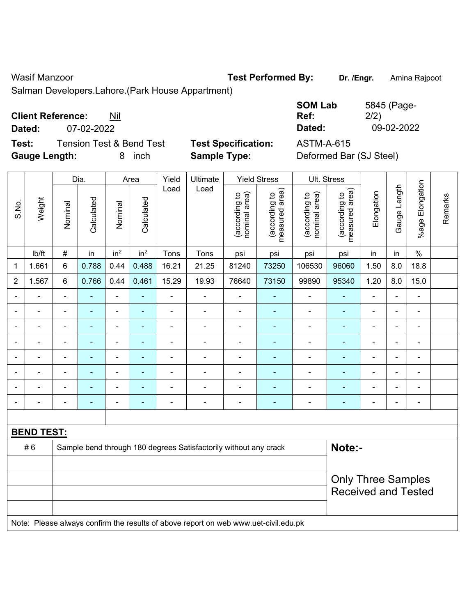Wasif Manzoor **Test Performed By:** Dr. /Engr. **Amina Rajpoot Wasif Manzoor** 

Salman Developers.Lahore.(Park House Appartment)

| <b>Client Reference:</b> | Nil |
|--------------------------|-----|
|--------------------------|-----|

**Dated:** 07-02-2022 **Dated:** 09-02-2022

**Test:** Tension Test & Bend Test **Test Specification:** ASTM-A-615 Gauge Length: **8** inch **Sample Type:** Definition

| <b>SOM Lab</b> | 5845 (Page- |
|----------------|-------------|
| Ref:           | 2/2)        |
| Dated:         | 09-02-2022  |

| Deformed Bar (SJ Steel) |  |  |  |
|-------------------------|--|--|--|
|-------------------------|--|--|--|

|                |                   |                                                                                     | Dia.           |                          | Area                     | Yield          | Ultimate                                                         |                                | <b>Yield Stress</b>             | Ult. Stress                    |                                 |                |                |                           |         |
|----------------|-------------------|-------------------------------------------------------------------------------------|----------------|--------------------------|--------------------------|----------------|------------------------------------------------------------------|--------------------------------|---------------------------------|--------------------------------|---------------------------------|----------------|----------------|---------------------------|---------|
| S.No.          | Weight            | Nominal                                                                             | Calculated     | Nominal                  | Calculated               | Load           | Load                                                             | nominal area)<br>(according to | (according to<br>measured area) | nominal area)<br>(according to | measured area)<br>(according to | Elongation     | Gauge Length   | Elongation<br>$%$ age $ $ | Remarks |
|                | lb/ft             | $\#$                                                                                | in             | in <sup>2</sup>          | in <sup>2</sup>          | Tons           | Tons                                                             | psi                            | psi                             | psi                            | psi                             | in             | in             | $\%$                      |         |
| 1              | 1.661             | 6                                                                                   | 0.788          | 0.44                     | 0.488                    | 16.21          | 21.25                                                            | 81240                          | 73250                           | 106530                         | 96060                           | 1.50           | 8.0            | 18.8                      |         |
| $\overline{2}$ | 1.567             | 6                                                                                   | 0.766          | 0.44                     | 0.461                    | 15.29          | 19.93                                                            | 76640                          | 73150                           | 99890                          | 95340                           | 1.20           | 8.0            | 15.0                      |         |
| $\blacksquare$ | ÷.                | $\blacksquare$                                                                      | ÷              | ä,                       | ä,                       | ä,             | $\blacksquare$                                                   | $\blacksquare$                 | $\blacksquare$                  | $\blacksquare$                 | $\blacksquare$                  | $\blacksquare$ | $\blacksquare$ | ÷.                        |         |
| $\blacksquare$ | $\blacksquare$    | $\blacksquare$                                                                      | $\blacksquare$ | ÷,                       | $\blacksquare$           | $\blacksquare$ | $\blacksquare$                                                   | $\blacksquare$                 | $\blacksquare$                  | $\blacksquare$                 | $\blacksquare$                  | $\blacksquare$ | $\blacksquare$ | $\frac{1}{2}$             |         |
| $\blacksquare$ | $\frac{1}{2}$     | $\blacksquare$                                                                      | ä,             | $\blacksquare$           | $\blacksquare$           | $\blacksquare$ | ÷,                                                               | $\blacksquare$                 | $\blacksquare$                  | $\blacksquare$                 | ÷,                              | $\blacksquare$ | $\blacksquare$ | $\frac{1}{2}$             |         |
|                | $\blacksquare$    | $\blacksquare$                                                                      | ٠              | $\overline{\phantom{0}}$ | $\overline{\phantom{a}}$ | $\blacksquare$ | $\blacksquare$                                                   | $\blacksquare$                 | $\blacksquare$                  | $\blacksquare$                 | ÷,                              | $\blacksquare$ | $\overline{a}$ | $\blacksquare$            |         |
|                |                   |                                                                                     | ÷              | ÷,                       | $\overline{\phantom{a}}$ | Ē,             | $\blacksquare$                                                   | $\overline{\phantom{a}}$       | $\blacksquare$                  | $\blacksquare$                 | ÷                               |                |                | $\blacksquare$            |         |
|                |                   |                                                                                     |                | ÷                        |                          |                |                                                                  |                                | ä,                              |                                |                                 |                |                | $\blacksquare$            |         |
|                |                   |                                                                                     |                | Ē,                       |                          |                | $\blacksquare$                                                   | ٠                              | ä,                              | $\blacksquare$                 | $\blacksquare$                  |                |                | $\blacksquare$            |         |
| $\blacksquare$ | $\blacksquare$    | $\blacksquare$                                                                      | ÷              | ÷,                       | $\overline{a}$           | ÷              | $\overline{\phantom{0}}$                                         | $\qquad \qquad \blacksquare$   | ۰                               | -                              | $\blacksquare$                  | $\blacksquare$ | $\blacksquare$ | $\overline{\phantom{0}}$  |         |
|                |                   |                                                                                     |                |                          |                          |                |                                                                  |                                |                                 |                                |                                 |                |                |                           |         |
|                | <b>BEND TEST:</b> |                                                                                     |                |                          |                          |                |                                                                  |                                |                                 |                                |                                 |                |                |                           |         |
|                | #6                |                                                                                     |                |                          |                          |                | Sample bend through 180 degrees Satisfactorily without any crack |                                |                                 |                                | Note:-                          |                |                |                           |         |
|                |                   |                                                                                     |                |                          |                          |                |                                                                  |                                |                                 |                                |                                 |                |                |                           |         |
|                |                   |                                                                                     |                |                          |                          |                |                                                                  |                                |                                 |                                |                                 |                |                | <b>Only Three Samples</b> |         |
|                |                   |                                                                                     |                |                          |                          |                |                                                                  |                                |                                 |                                | <b>Received and Tested</b>      |                |                |                           |         |
|                |                   | Note: Please always confirm the results of above report on web www.uet-civil.edu.pk |                |                          |                          |                |                                                                  |                                |                                 |                                |                                 |                |                |                           |         |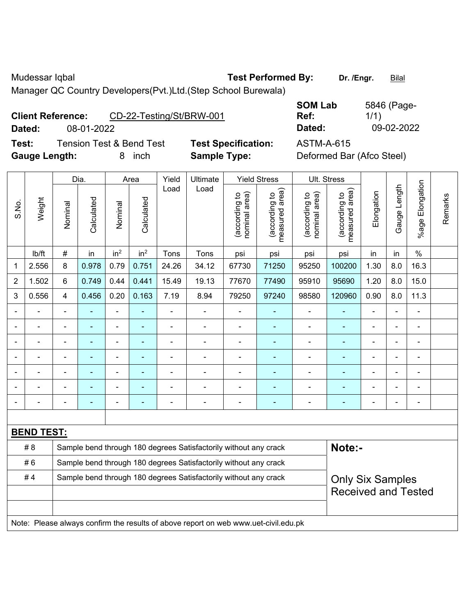Mudessar Iqbal **Test Performed By:** Dr. /Engr. **Bilal** Dr. /Engr. **Bilal** 

Manager QC Country Developers(Pvt.)Ltd.(Step School Burewala)

**Client Reference:** CD-22-Testing/St/BRW-001

**Test:** Tension Test & Bend Test **Test Specification:** ASTM-A-615 **Gauge Length:** 8 inch **Sample Type:** Deformed Bar (Afco Steel)

**SOM Lab Ref:**  5846 (Page-1/1) **Dated:** 08-01-2022 **Dated:** 09-02-2022

|                |                          |                | Dia.                                                             |                              | Area                     | Yield          | Ultimate                                                                            |                                | <b>Yield Stress</b>             |                                | Ult. Stress                     |                |                |                 |         |
|----------------|--------------------------|----------------|------------------------------------------------------------------|------------------------------|--------------------------|----------------|-------------------------------------------------------------------------------------|--------------------------------|---------------------------------|--------------------------------|---------------------------------|----------------|----------------|-----------------|---------|
| S.No.          | Weight                   | Nominal        | Calculated                                                       | Nominal                      | Calculated               | Load           | Load                                                                                | nominal area)<br>(according to | (according to<br>measured area) | (according to<br>nominal area) | measured area)<br>(according to | Elongation     | Gauge Length   | %age Elongation | Remarks |
|                | lb/ft                    | $\#$           | in                                                               | in <sup>2</sup>              | in <sup>2</sup>          | Tons           | Tons                                                                                | psi                            | psi                             | psi                            | psi                             | in             | in             | $\%$            |         |
| 1              | 2.556                    | 8              | 0.978                                                            | 0.79                         | 0.751                    | 24.26          | 34.12                                                                               | 67730                          | 71250                           | 95250                          | 100200                          | 1.30           | 8.0            | 16.3            |         |
| $\overline{2}$ | 1.502                    | 6              | 0.749                                                            | 0.44                         | 0.441                    | 15.49          | 19.13                                                                               | 77670                          | 77490                           | 95910                          | 95690                           | 1.20           | 8.0            | 15.0            |         |
| 3              | 0.556                    | $\overline{4}$ | 0.456                                                            | 0.20                         | 0.163                    | 7.19           | 8.94                                                                                | 79250                          | 97240                           | 98580                          | 120960                          | 0.90           | 8.0            | 11.3            |         |
| $\blacksquare$ | ÷.                       | $\blacksquare$ | $\blacksquare$                                                   | ÷,                           | $\blacksquare$           | $\blacksquare$ | $\blacksquare$                                                                      | $\blacksquare$                 | $\blacksquare$                  | $\overline{\phantom{a}}$       | ä,                              |                | ä,             | $\blacksquare$  |         |
|                | ä,                       | ä,             | $\frac{1}{2}$                                                    | $\blacksquare$               | $\blacksquare$           | $\blacksquare$ | $\blacksquare$                                                                      | $\blacksquare$                 | $\blacksquare$                  | $\blacksquare$                 | ٠                               | $\blacksquare$ | ä,             | $\blacksquare$  |         |
|                | $\overline{\phantom{0}}$ | $\blacksquare$ | ÷                                                                | ÷,                           | $\overline{\phantom{a}}$ | $\blacksquare$ | $\blacksquare$                                                                      | $\blacksquare$                 | $\blacksquare$                  | $\blacksquare$                 | $\overline{\phantom{0}}$        | $\blacksquare$ | ä,             | $\overline{a}$  |         |
|                | $\blacksquare$           | $\blacksquare$ | ä,                                                               | $\qquad \qquad \blacksquare$ | $\blacksquare$           | $\blacksquare$ | $\blacksquare$                                                                      | $\blacksquare$                 | $\blacksquare$                  | $\blacksquare$                 | $\blacksquare$                  | $\blacksquare$ | ÷              | $\blacksquare$  |         |
|                |                          |                | $\overline{a}$                                                   | ä,                           | $\blacksquare$           |                |                                                                                     | $\blacksquare$                 | L,                              | ä,                             |                                 |                |                | ÷               |         |
|                |                          |                |                                                                  | ÷                            |                          |                |                                                                                     |                                |                                 |                                |                                 |                |                |                 |         |
| $\blacksquare$ | $\blacksquare$           | $\blacksquare$ | $\blacksquare$                                                   | $\blacksquare$               | $\overline{\phantom{a}}$ | $\blacksquare$ | $\overline{\phantom{a}}$                                                            | $\blacksquare$                 | $\blacksquare$                  | ۰                              | $\overline{\phantom{0}}$        | $\blacksquare$ | $\blacksquare$ | $\overline{a}$  |         |
|                |                          |                |                                                                  |                              |                          |                |                                                                                     |                                |                                 |                                |                                 |                |                |                 |         |
|                | <b>BEND TEST:</b>        |                |                                                                  |                              |                          |                |                                                                                     |                                |                                 |                                |                                 |                |                |                 |         |
|                | # 8                      |                |                                                                  |                              |                          |                | Sample bend through 180 degrees Satisfactorily without any crack                    |                                |                                 |                                | Note:-                          |                |                |                 |         |
|                | #6                       |                |                                                                  |                              |                          |                | Sample bend through 180 degrees Satisfactorily without any crack                    |                                |                                 |                                |                                 |                |                |                 |         |
|                | #4                       |                | Sample bend through 180 degrees Satisfactorily without any crack |                              |                          |                | <b>Only Six Samples</b>                                                             |                                |                                 |                                |                                 |                |                |                 |         |
|                |                          |                |                                                                  |                              |                          |                |                                                                                     |                                |                                 |                                | <b>Received and Tested</b>      |                |                |                 |         |
|                |                          |                |                                                                  |                              |                          |                |                                                                                     |                                |                                 |                                |                                 |                |                |                 |         |
|                |                          |                |                                                                  |                              |                          |                | Note: Please always confirm the results of above report on web www.uet-civil.edu.pk |                                |                                 |                                |                                 |                |                |                 |         |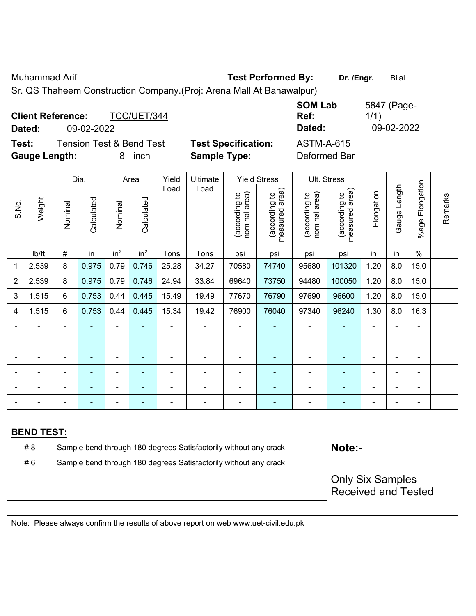Muhammad Arif **Test Performed By:** Dr. /Engr. **Bilal** 

Sr. QS Thaheem Construction Company.(Proj: Arena Mall At Bahawalpur)

| <b>Client Reference:</b><br>TCC/UET/344<br>09-02-2022<br>Dated: |                            | <b>SOM Lab</b><br>Ref:<br>Dated: | 5847 (Page-<br>1/1)<br>09-02-2022 |
|-----------------------------------------------------------------|----------------------------|----------------------------------|-----------------------------------|
| Tension Test & Bend Test<br>Test:                               | <b>Test Specification:</b> | <b>ASTM-A-615</b>                |                                   |
| <b>Gauge Length:</b><br>inch<br>8                               | <b>Sample Type:</b>        | Deformed Bar                     |                                   |

|                |                   |                | Dia.           |                 | Area                     | Yield                    | Ultimate                                                                            |                                | <b>Yield Stress</b>             |                                | Ult. Stress                     |                            |                |                       |         |
|----------------|-------------------|----------------|----------------|-----------------|--------------------------|--------------------------|-------------------------------------------------------------------------------------|--------------------------------|---------------------------------|--------------------------------|---------------------------------|----------------------------|----------------|-----------------------|---------|
| S.No.          | Weight            | Nominal        | Calculated     | Nominal         | Calculated               | Load                     | Load                                                                                | nominal area)<br>(according to | (according to<br>measured area) | (according to<br>nominal area) | measured area)<br>(according to | Elongation                 | Gauge Length   | Elongation<br>$%$ age | Remarks |
|                | lb/ft             | $\#$           | in             | in <sup>2</sup> | in <sup>2</sup>          | Tons                     | Tons                                                                                | psi                            | psi                             | psi                            | psi                             | in                         | in             | $\%$                  |         |
| 1              | 2.539             | 8              | 0.975          | 0.79            | 0.746                    | 25.28                    | 34.27                                                                               | 70580                          | 74740                           | 95680                          | 101320                          | 1.20                       | 8.0            | 15.0                  |         |
| $\overline{2}$ | 2.539             | 8              | 0.975          | 0.79            | 0.746                    | 24.94                    | 33.84                                                                               | 69640                          | 73750                           | 94480                          | 100050                          | 1.20                       | 8.0            | 15.0                  |         |
| 3              | 1.515             | 6              | 0.753          | 0.44            | 0.445                    | 15.49                    | 19.49                                                                               | 77670                          | 76790                           | 97690                          | 96600                           | 1.20                       | 8.0            | 15.0                  |         |
| 4              | 1.515             | 6              | 0.753          | 0.44            | 0.445                    | 15.34                    | 19.42                                                                               | 76900                          | 76040                           | 97340                          | 96240                           | 1.30                       | 8.0            | 16.3                  |         |
|                |                   | $\blacksquare$ | $\blacksquare$ | ÷,              |                          | ä,                       | $\blacksquare$                                                                      | $\blacksquare$                 | $\blacksquare$                  | $\blacksquare$                 | Ē,                              | $\blacksquare$             | $\blacksquare$ | ä,                    |         |
|                | $\blacksquare$    | $\blacksquare$ | $\blacksquare$ | ÷,              | $\blacksquare$           | ä,                       | $\blacksquare$                                                                      | $\blacksquare$                 | ÷                               | ÷,                             | $\blacksquare$                  | $\blacksquare$             | $\blacksquare$ | ÷,                    |         |
|                | $\blacksquare$    |                | $\blacksquare$ | $\blacksquare$  | $\blacksquare$           | $\overline{\phantom{a}}$ | $\blacksquare$                                                                      | $\blacksquare$                 | $\blacksquare$                  | $\blacksquare$                 | ÷                               | $\blacksquare$             | ä,             | $\blacksquare$        |         |
|                |                   |                | $\blacksquare$ | L.              | $\overline{\phantom{0}}$ |                          |                                                                                     | $\overline{\phantom{0}}$       |                                 |                                | ٠                               |                            |                | $\blacksquare$        |         |
|                |                   |                |                | Ē,              |                          |                          |                                                                                     |                                |                                 |                                |                                 |                            |                | ÷                     |         |
| $\blacksquare$ |                   | $\blacksquare$ | $\blacksquare$ | ÷               | $\overline{\phantom{a}}$ | $\blacksquare$           | $\blacksquare$                                                                      | $\overline{\phantom{0}}$       | $\overline{\phantom{0}}$        | $\blacksquare$                 | Ē.                              | $\overline{\phantom{0}}$   | $\blacksquare$ | $\overline{a}$        |         |
|                |                   |                |                |                 |                          |                          |                                                                                     |                                |                                 |                                |                                 |                            |                |                       |         |
|                | <b>BEND TEST:</b> |                |                |                 |                          |                          |                                                                                     |                                |                                 |                                |                                 |                            |                |                       |         |
|                | # 8               |                |                |                 |                          |                          | Sample bend through 180 degrees Satisfactorily without any crack                    |                                |                                 |                                | Note:-                          |                            |                |                       |         |
|                | #6                |                |                |                 |                          |                          | Sample bend through 180 degrees Satisfactorily without any crack                    |                                |                                 |                                |                                 |                            |                |                       |         |
|                |                   |                |                |                 |                          |                          |                                                                                     | <b>Only Six Samples</b>        |                                 |                                |                                 |                            |                |                       |         |
|                |                   |                |                |                 |                          |                          |                                                                                     |                                |                                 |                                |                                 | <b>Received and Tested</b> |                |                       |         |
|                |                   |                |                |                 |                          |                          |                                                                                     |                                |                                 |                                |                                 |                            |                |                       |         |
|                |                   |                |                |                 |                          |                          | Note: Please always confirm the results of above report on web www.uet-civil.edu.pk |                                |                                 |                                |                                 |                            |                |                       |         |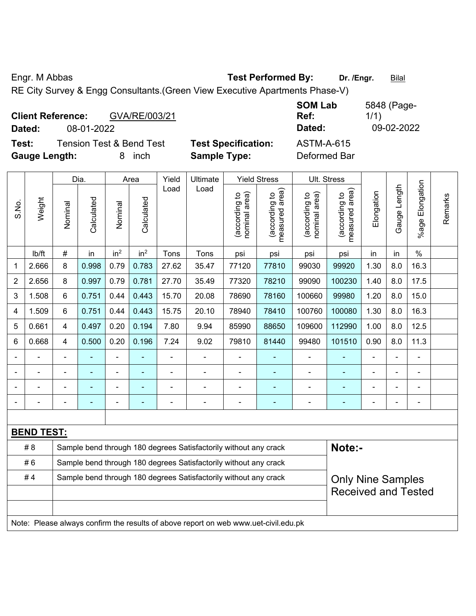Engr. M Abbas **Test Performed By:** Dr. /Engr. **Bilal** 

RE City Survey & Engg Consultants.(Green View Executive Apartments Phase-V)

| <b>Client Reference:</b><br>GVA/RE/003/21<br>08-01-2022<br>Dated:                        |                                                   | <b>SOM Lab</b><br>Ref:<br>Dated:  | 5848 (Page-<br>1/1)<br>09-02-2022 |
|------------------------------------------------------------------------------------------|---------------------------------------------------|-----------------------------------|-----------------------------------|
| <b>Tension Test &amp; Bend Test</b><br>Test:<br><b>Gauge Length:</b><br><i>inch</i><br>8 | <b>Test Specification:</b><br><b>Sample Type:</b> | <b>ASTM-A-615</b><br>Deformed Bar |                                   |

|                |                   |                | Dia.                                                             |                 | Area                     | Yield | Ultimate                                                                            |                                | <b>Yield Stress</b>             |                                | Ult. Stress                     |            |              |                          |         |
|----------------|-------------------|----------------|------------------------------------------------------------------|-----------------|--------------------------|-------|-------------------------------------------------------------------------------------|--------------------------------|---------------------------------|--------------------------------|---------------------------------|------------|--------------|--------------------------|---------|
| S.No.          | Weight            | Nominal        | Calculated                                                       | Nominal         | Calculated               | Load  | Load                                                                                | nominal area)<br>(according to | (according to<br>measured area) | nominal area)<br>(according to | (according to<br>measured area) | Elongation | Gauge Length | Elongation<br>$%$ age    | Remarks |
|                | lb/ft             | $\#$           | in                                                               | in <sup>2</sup> | in <sup>2</sup>          | Tons  | Tons                                                                                | psi                            | psi                             | psi                            | psi                             | in         | in           | $\%$                     |         |
| 1              | 2.666             | 8              | 0.998                                                            | 0.79            | 0.783                    | 27.62 | 35.47                                                                               | 77120                          | 77810                           | 99030                          | 99920                           | 1.30       | 8.0          | 16.3                     |         |
| $\overline{2}$ | 2.656             | 8              | 0.997                                                            | 0.79            | 0.781                    | 27.70 | 35.49                                                                               | 77320                          | 78210                           | 99090                          | 100230                          | 1.40       | 8.0          | 17.5                     |         |
| 3              | 1.508             | 6              | 0.751                                                            | 0.44            | 0.443                    | 15.70 | 20.08                                                                               | 78690                          | 78160                           | 100660                         | 99980                           | 1.20       | 8.0          | 15.0                     |         |
| 4              | 1.509             | 6              | 0.751                                                            | 0.44            | 0.443                    | 15.75 | 20.10                                                                               | 78940                          | 78410                           | 100760                         | 100080                          | 1.30       | 8.0          | 16.3                     |         |
| 5              | 0.661             | 4              | 0.497                                                            | 0.20            | 0.194                    | 7.80  | 9.94                                                                                | 85990                          | 88650                           | 109600                         | 112990                          | 1.00       | 8.0          | 12.5                     |         |
| 6              | 0.668             | 4              | 0.500                                                            | 0.20            | 0.196                    | 7.24  | 9.02                                                                                | 79810                          | 81440                           | 99480                          | 101510                          | 0.90       | 8.0          | 11.3                     |         |
|                |                   |                |                                                                  | ä,              |                          |       |                                                                                     |                                |                                 |                                |                                 |            | -            | L,                       |         |
|                |                   |                |                                                                  |                 |                          |       |                                                                                     |                                |                                 |                                |                                 |            |              |                          |         |
|                |                   |                |                                                                  | ÷               |                          |       |                                                                                     |                                |                                 | $\blacksquare$                 |                                 |            |              |                          |         |
| $\blacksquare$ |                   | $\blacksquare$ | $\blacksquare$                                                   | ÷               | $\blacksquare$           |       | $\blacksquare$                                                                      | ٠                              | $\overline{\phantom{0}}$        | $\blacksquare$                 |                                 | ۰          | -            | $\overline{\phantom{0}}$ |         |
|                |                   |                |                                                                  |                 |                          |       |                                                                                     |                                |                                 |                                |                                 |            |              |                          |         |
|                | <b>BEND TEST:</b> |                |                                                                  |                 |                          |       |                                                                                     |                                |                                 |                                |                                 |            |              |                          |         |
|                | # 8               |                |                                                                  |                 |                          |       | Sample bend through 180 degrees Satisfactorily without any crack                    |                                |                                 |                                | Note:-                          |            |              |                          |         |
|                | #6                |                |                                                                  |                 |                          |       | Sample bend through 180 degrees Satisfactorily without any crack                    |                                |                                 |                                |                                 |            |              |                          |         |
|                | #4                |                | Sample bend through 180 degrees Satisfactorily without any crack |                 | <b>Only Nine Samples</b> |       |                                                                                     |                                |                                 |                                |                                 |            |              |                          |         |
|                |                   |                |                                                                  |                 |                          |       |                                                                                     |                                |                                 |                                | <b>Received and Tested</b>      |            |              |                          |         |
|                |                   |                |                                                                  |                 |                          |       |                                                                                     |                                |                                 |                                |                                 |            |              |                          |         |
|                |                   |                |                                                                  |                 |                          |       | Note: Please always confirm the results of above report on web www.uet-civil.edu.pk |                                |                                 |                                |                                 |            |              |                          |         |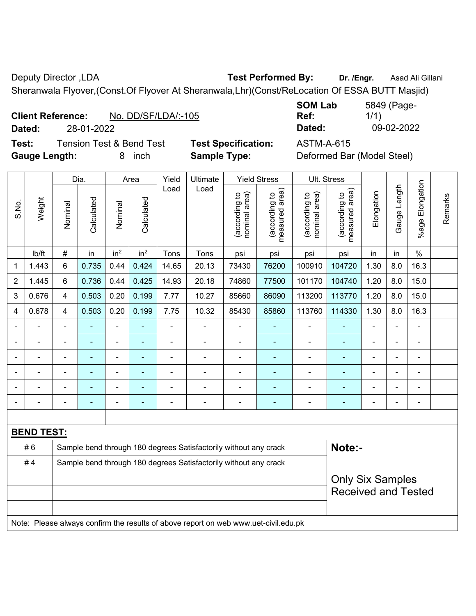Deputy Director ,LDA **Test Performed By:** Dr. /Engr. **Asad Ali Gillani** Deputy Director ,LDA

Sheranwala Flyover,(Const.Of Flyover At Sheranwala,Lhr)(Const/ReLocation Of ESSA BUTT Masjid)

| <b>Client Reference:</b> |            | No. DD/SF/LDA/:-105 |
|--------------------------|------------|---------------------|
| Dated:                   | 28-01-2022 |                     |

**Test:** Tension Test & Bend Test **Test Specification:** ASTM-A-615 **Gauge Length:** 8 inch **Sample Type:** Deformed Bar (Model Steel)

**SOM Lab Ref:**  5849 (Page-1/1) **Dated:** 28-01-2022 **Dated:** 09-02-2022

|       |                   |                | Dia.       |                 | Area            | Yield | Ultimate                                                                            |                                | <b>Yield Stress</b>                         |                                | Ult. Stress                     |                |                          |                       |         |
|-------|-------------------|----------------|------------|-----------------|-----------------|-------|-------------------------------------------------------------------------------------|--------------------------------|---------------------------------------------|--------------------------------|---------------------------------|----------------|--------------------------|-----------------------|---------|
| S.No. | Weight            | Nominal        | Calculated | Nominal         | Calculated      | Load  | Load                                                                                | nominal area)<br>(according to | (according to<br>measured area)<br>measured | nominal area)<br>(according to | (according to<br>measured area) | Elongation     | Gauge Length             | Elongation<br>$%$ age | Remarks |
|       | lb/ft             | $\#$           | in         | in <sup>2</sup> | in <sup>2</sup> | Tons  | Tons                                                                                | psi                            | psi                                         | psi                            | psi                             | in             | in                       | $\%$                  |         |
| 1     | 1.443             | 6              | 0.735      | 0.44            | 0.424           | 14.65 | 20.13                                                                               | 73430                          | 76200                                       | 100910                         | 104720                          | 1.30           | 8.0                      | 16.3                  |         |
| 2     | 1.445             | 6              | 0.736      | 0.44            | 0.425           | 14.93 | 20.18                                                                               | 74860                          | 77500                                       | 101170                         | 104740                          | 1.20           | 8.0                      | 15.0                  |         |
| 3     | 0.676             | $\overline{4}$ | 0.503      | 0.20            | 0.199           | 7.77  | 10.27                                                                               | 85660                          | 86090                                       | 113200                         | 113770                          | 1.20           | 8.0                      | 15.0                  |         |
| 4     | 0.678             | 4              | 0.503      | 0.20            | 0.199           | 7.75  | 10.32                                                                               | 85430                          | 85860                                       | 113760                         | 114330                          | 1.30           | 8.0                      | 16.3                  |         |
|       | $\blacksquare$    | $\blacksquare$ | ٠          | $\blacksquare$  |                 | L,    | ÷                                                                                   | ä,                             | $\blacksquare$                              | $\blacksquare$                 | ۰                               |                | $\blacksquare$           | $\blacksquare$        |         |
|       | ä,                | $\blacksquare$ | ÷,         | $\blacksquare$  | ÷               | L,    | ÷,                                                                                  | ä,                             | ÷                                           | ä,                             | ÷                               |                | $\blacksquare$           | ä,                    |         |
|       | $\blacksquare$    |                | ۰          | $\blacksquare$  | Ē.              | L,    | ÷                                                                                   | $\blacksquare$                 | ۰                                           | $\blacksquare$                 | ÷                               |                |                          | $\blacksquare$        |         |
|       |                   |                |            | ۰               |                 |       |                                                                                     |                                | ÷                                           |                                |                                 |                |                          |                       |         |
|       |                   |                |            | ۰               |                 |       | ÷                                                                                   | $\blacksquare$                 | Ē.                                          | $\blacksquare$                 |                                 |                |                          |                       |         |
|       | $\blacksquare$    | $\blacksquare$ | ÷          | -               | ÷               | -     | ÷,                                                                                  | $\blacksquare$                 | ۰                                           | -                              | ÷                               | $\blacksquare$ | $\overline{\phantom{a}}$ | $\blacksquare$        |         |
|       |                   |                |            |                 |                 |       |                                                                                     |                                |                                             |                                |                                 |                |                          |                       |         |
|       | <b>BEND TEST:</b> |                |            |                 |                 |       |                                                                                     |                                |                                             |                                |                                 |                |                          |                       |         |
|       | #6                |                |            |                 |                 |       | Sample bend through 180 degrees Satisfactorily without any crack                    |                                |                                             |                                | Note:-                          |                |                          |                       |         |
|       | #4                |                |            |                 |                 |       | Sample bend through 180 degrees Satisfactorily without any crack                    |                                |                                             |                                |                                 |                |                          |                       |         |
|       |                   |                |            |                 |                 |       |                                                                                     | <b>Only Six Samples</b>        |                                             |                                |                                 |                |                          |                       |         |
|       |                   |                |            |                 |                 |       |                                                                                     |                                |                                             |                                | <b>Received and Tested</b>      |                |                          |                       |         |
|       |                   |                |            |                 |                 |       |                                                                                     |                                |                                             |                                |                                 |                |                          |                       |         |
|       |                   |                |            |                 |                 |       | Note: Please always confirm the results of above report on web www.uet-civil.edu.pk |                                |                                             |                                |                                 |                |                          |                       |         |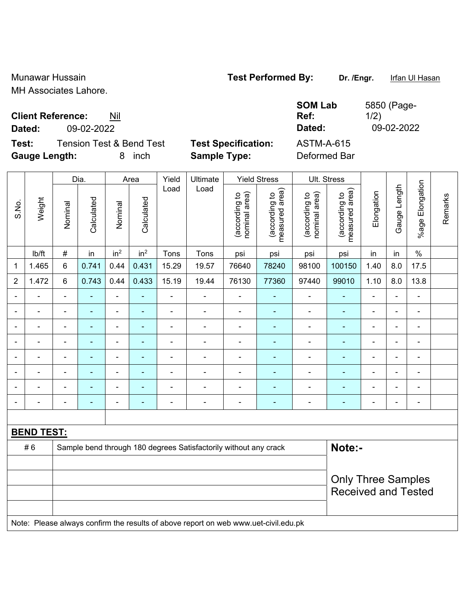Munawar Hussain **Test Performed By:** Dr. /Engr. Infan Ul Hasan

5850 (Page-

1/2)

MH Associates Lahore.

### **Client Reference:** Nil

**Dated:** 09-02-2022 **Dated:** 09-02-2022

**Test:** Tension Test & Bend Test **Test Specification:** ASTM-A-615 **Gauge Length:** 8 inch **Sample Type:** Deformed Bar

**SOM Lab Ref:** 

|                | Weight            |                          | Dia.<br>Area   |                              | Yield           | Ultimate       |                                                                                     | <b>Yield Stress</b>            |                                 | Ult. Stress                    |                                 |                            |                          |                 |         |  |  |
|----------------|-------------------|--------------------------|----------------|------------------------------|-----------------|----------------|-------------------------------------------------------------------------------------|--------------------------------|---------------------------------|--------------------------------|---------------------------------|----------------------------|--------------------------|-----------------|---------|--|--|
| S.No.          |                   | Nominal                  | Calculated     | Nominal                      | Calculated      | Load           | Load                                                                                | nominal area)<br>(according to | (according to<br>measured area) | (according to<br>nominal area) | (according to<br>measured area) | Elongation                 | Gauge Length             | %age Elongation | Remarks |  |  |
|                | lb/ft             | $\#$                     | in             | in <sup>2</sup>              | in <sup>2</sup> | Tons           | Tons                                                                                | psi                            | psi                             | psi                            | psi                             | in                         | in                       | $\%$            |         |  |  |
| $\mathbf{1}$   | 1.465             | $\,6$                    | 0.741          | 0.44                         | 0.431           | 15.29          | 19.57                                                                               | 76640                          | 78240                           | 98100                          | 100150                          | 1.40                       | 8.0                      | 17.5            |         |  |  |
| $\overline{2}$ | 1.472             | $6\phantom{1}$           | 0.743          | 0.44                         | 0.433           | 15.19          | 19.44                                                                               | 76130                          | 77360                           | 97440                          | 99010                           | 1.10                       | 8.0                      | 13.8            |         |  |  |
| $\blacksquare$ | ÷.                | $\blacksquare$           | $\blacksquare$ | ÷,                           | $\blacksquare$  | ä,             | $\blacksquare$                                                                      | $\blacksquare$                 | ٠                               | $\blacksquare$                 | $\blacksquare$                  | $\blacksquare$             | $\blacksquare$           | $\blacksquare$  |         |  |  |
|                | $\blacksquare$    | $\blacksquare$           | ٠              | ÷,                           | $\blacksquare$  | $\blacksquare$ | $\overline{\phantom{a}}$                                                            | $\blacksquare$                 | ÷                               | $\blacksquare$                 | $\blacksquare$                  | $\blacksquare$             | $\blacksquare$           | $\blacksquare$  |         |  |  |
|                | $\blacksquare$    | $\overline{\phantom{a}}$ | ٠              | $\qquad \qquad \blacksquare$ | $\blacksquare$  | $\blacksquare$ | $\overline{\phantom{a}}$                                                            | $\blacksquare$                 | ٠                               | $\overline{\phantom{a}}$       | $\blacksquare$                  | $\blacksquare$             | ÷                        | $\blacksquare$  |         |  |  |
|                |                   | $\blacksquare$           |                | -                            | $\blacksquare$  | $\blacksquare$ | ÷                                                                                   | $\blacksquare$                 | $\blacksquare$                  | ÷                              | ÷                               |                            |                          | ÷               |         |  |  |
|                |                   | $\blacksquare$           |                | $\overline{\phantom{a}}$     | $\blacksquare$  | $\blacksquare$ | $\blacksquare$                                                                      | $\blacksquare$                 | $\blacksquare$                  | $\overline{\phantom{a}}$       | $\blacksquare$                  | $\blacksquare$             |                          | ÷               |         |  |  |
|                | $\blacksquare$    | $\blacksquare$           | $\blacksquare$ | $\overline{\phantom{a}}$     | $\blacksquare$  | $\blacksquare$ | $\blacksquare$                                                                      | $\blacksquare$                 | $\blacksquare$                  | $\blacksquare$                 | $\blacksquare$                  | $\blacksquare$             | $\blacksquare$           | $\blacksquare$  |         |  |  |
|                |                   | $\blacksquare$           | $\blacksquare$ | $\qquad \qquad \blacksquare$ | $\blacksquare$  | $\blacksquare$ | $\overline{\phantom{a}}$                                                            | $\blacksquare$                 | $\blacksquare$                  | $\overline{\phantom{a}}$       | $\blacksquare$                  |                            | $\overline{\phantom{a}}$ | $\blacksquare$  |         |  |  |
|                |                   | $\blacksquare$           |                | $\qquad \qquad \blacksquare$ | $\blacksquare$  | $\blacksquare$ | $\blacksquare$                                                                      | $\blacksquare$                 | $\blacksquare$                  | $\blacksquare$                 | $\blacksquare$                  | $\blacksquare$             |                          | $\blacksquare$  |         |  |  |
|                |                   |                          |                |                              |                 |                |                                                                                     |                                |                                 |                                |                                 |                            |                          |                 |         |  |  |
|                | <b>BEND TEST:</b> |                          |                |                              |                 |                |                                                                                     |                                |                                 |                                |                                 |                            |                          |                 |         |  |  |
|                | #6                |                          |                |                              |                 |                | Sample bend through 180 degrees Satisfactorily without any crack                    |                                |                                 |                                | Note:-                          |                            |                          |                 |         |  |  |
|                |                   |                          |                |                              |                 |                |                                                                                     |                                |                                 |                                |                                 |                            |                          |                 |         |  |  |
|                |                   |                          |                |                              |                 |                | <b>Only Three Samples</b>                                                           |                                |                                 |                                |                                 |                            |                          |                 |         |  |  |
|                |                   |                          |                |                              |                 |                |                                                                                     |                                |                                 |                                |                                 | <b>Received and Tested</b> |                          |                 |         |  |  |
|                |                   |                          |                |                              |                 |                |                                                                                     |                                |                                 |                                |                                 |                            |                          |                 |         |  |  |
|                |                   |                          |                |                              |                 |                | Note: Please always confirm the results of above report on web www.uet-civil.edu.pk |                                |                                 |                                |                                 |                            |                          |                 |         |  |  |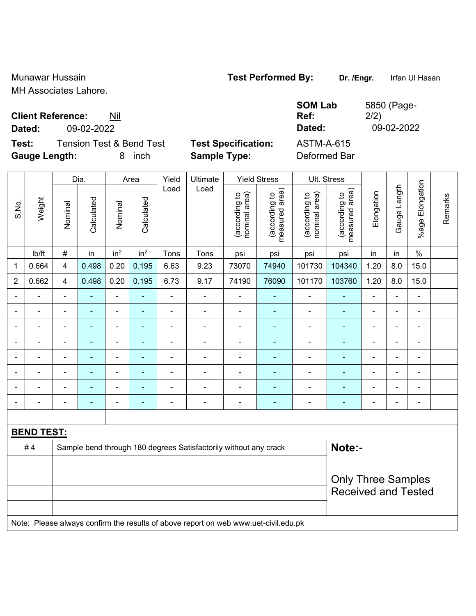Munawar Hussain **Test Performed By:** Dr. /Engr. If Infan Ul Hasan

MH Associates Lahore.

# **Client Reference:** Nil

**Dated:** 09-02-2022 **Dated:** 09-02-2022

**Test:** Tension Test & Bend Test **Test Specification:** ASTM-A-615 **Gauge Length:** 8 inch **Sample Type:** Deformed Bar

**SOM Lab Ref:** 

| 5850 (Page- |
|-------------|
| 2/2)        |
| 09-02-2022  |
|             |

|                          |                   | Dia.           |                |                 | Area            |                | Ultimate                                                                            |                                | <b>Yield Stress</b>             |                                | Ult. Stress                     |                              |                |                       |         |
|--------------------------|-------------------|----------------|----------------|-----------------|-----------------|----------------|-------------------------------------------------------------------------------------|--------------------------------|---------------------------------|--------------------------------|---------------------------------|------------------------------|----------------|-----------------------|---------|
| S.No.                    | Weight            | Nominal        | Calculated     | Nominal         | Calculated      | Load           | Load                                                                                | nominal area)<br>(according to | (according to<br>measured area) | nominal area)<br>(according to | measured area)<br>(according to | Elongation                   | Gauge Length   | Elongation<br>$%$ age | Remarks |
|                          | lb/ft             | $\#$           | in             | in <sup>2</sup> | in <sup>2</sup> | Tons           | Tons                                                                                | psi                            | psi                             | psi                            | psi                             | in                           | in             | $\%$                  |         |
| $\mathbf 1$              | 0.664             | $\overline{4}$ | 0.498          | 0.20            | 0.195           | 6.63           | 9.23                                                                                | 73070                          | 74940                           | 101730                         | 104340                          | 1.20                         | 8.0            | 15.0                  |         |
| $\overline{2}$           | 0.662             | $\overline{4}$ | 0.498          | 0.20            | 0.195           | 6.73           | 9.17                                                                                | 74190                          | 76090                           | 101170                         | 103760                          | 1.20                         | 8.0            | 15.0                  |         |
| $\blacksquare$           |                   |                | ä,             | $\blacksquare$  |                 | $\blacksquare$ | ÷,                                                                                  | $\overline{\phantom{a}}$       | ٠                               | $\blacksquare$                 | ٠                               | $\blacksquare$               |                | $\blacksquare$        |         |
| $\blacksquare$           | $\blacksquare$    | $\blacksquare$ | $\blacksquare$ | $\blacksquare$  | $\blacksquare$  | $\blacksquare$ | $\blacksquare$                                                                      | $\blacksquare$                 | $\blacksquare$                  | $\overline{\phantom{a}}$       | ÷                               | $\blacksquare$               | $\blacksquare$ | $\blacksquare$        |         |
|                          | ÷                 | $\blacksquare$ | ä,             | $\blacksquare$  | ٠               | $\blacksquare$ | Ē,                                                                                  | $\blacksquare$                 | $\blacksquare$                  | $\blacksquare$                 | ۰                               |                              |                | ä,                    |         |
|                          |                   |                | $\blacksquare$ | $\blacksquare$  |                 |                |                                                                                     |                                | $\blacksquare$                  |                                | ۰                               |                              |                | $\blacksquare$        |         |
|                          |                   | $\blacksquare$ | $\blacksquare$ | $\blacksquare$  | ٠               | $\blacksquare$ | $\blacksquare$                                                                      | $\blacksquare$                 | $\blacksquare$                  |                                | ۰                               | $\blacksquare$               | $\blacksquare$ | $\blacksquare$        |         |
|                          |                   | $\blacksquare$ | $\blacksquare$ | $\blacksquare$  |                 |                | ä,                                                                                  | $\blacksquare$                 | $\blacksquare$                  | $\blacksquare$                 | ۰                               | ä,                           | $\blacksquare$ | $\blacksquare$        |         |
| $\overline{\phantom{0}}$ |                   |                | $\blacksquare$ | $\blacksquare$  | ٠               | $\blacksquare$ | ÷,                                                                                  | $\overline{\phantom{a}}$       | $\blacksquare$                  | $\blacksquare$                 | ۰                               | $\blacksquare$               | ۰              | $\blacksquare$        |         |
| $\overline{\phantom{0}}$ | $\blacksquare$    |                | $\blacksquare$ | $\blacksquare$  | $\blacksquare$  | $\blacksquare$ | ÷,                                                                                  | $\blacksquare$                 | ٠                               | $\blacksquare$                 | $\blacksquare$                  | $\qquad \qquad \blacksquare$ | $\blacksquare$ | $\blacksquare$        |         |
|                          |                   |                |                |                 |                 |                |                                                                                     |                                |                                 |                                |                                 |                              |                |                       |         |
|                          | <b>BEND TEST:</b> |                |                |                 |                 |                |                                                                                     |                                |                                 |                                |                                 |                              |                |                       |         |
|                          | #4                |                |                |                 |                 |                | Sample bend through 180 degrees Satisfactorily without any crack                    |                                |                                 |                                | Note:-                          |                              |                |                       |         |
|                          |                   |                |                |                 |                 |                |                                                                                     |                                |                                 |                                |                                 |                              |                |                       |         |
|                          |                   |                |                |                 |                 |                | <b>Only Three Samples</b>                                                           |                                |                                 |                                |                                 |                              |                |                       |         |
|                          |                   |                |                |                 |                 |                |                                                                                     |                                |                                 |                                |                                 | <b>Received and Tested</b>   |                |                       |         |
|                          |                   |                |                |                 |                 |                |                                                                                     |                                |                                 |                                |                                 |                              |                |                       |         |
|                          |                   |                |                |                 |                 |                | Note: Please always confirm the results of above report on web www.uet-civil.edu.pk |                                |                                 |                                |                                 |                              |                |                       |         |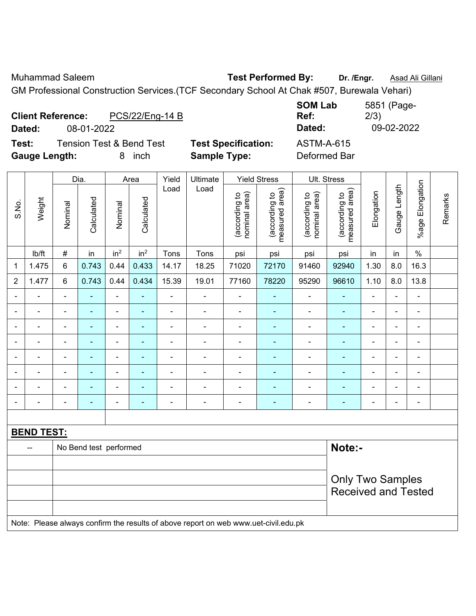Muhammad Saleem **Test Performed By: Dr. /Engr.** Asad Ali Gillani

GM Professional Construction Services.(TCF Secondary School At Chak #507, Burewala Vehari)

| <b>Client Reference:</b><br>PCS/22/Eng-14 B<br>08-01-2022<br>Dated: |                            | <b>SOM Lab</b><br>Ref:<br>Dated: | 5851 (Page-<br>2/3)<br>09-02-2022 |
|---------------------------------------------------------------------|----------------------------|----------------------------------|-----------------------------------|
| <b>Tension Test &amp; Bend Test</b><br>Test:                        | <b>Test Specification:</b> | ASTM-A-615                       |                                   |
| <b>Gauge Length:</b><br>inch                                        | <b>Sample Type:</b>        | Deformed Bar                     |                                   |

|                          |                   |                            | Dia.                   | Area            |                          | Yield          | Ultimate                                                                            |                                | <b>Yield Stress</b>             |                                | Ult. Stress                     |                          |                |                          |         |
|--------------------------|-------------------|----------------------------|------------------------|-----------------|--------------------------|----------------|-------------------------------------------------------------------------------------|--------------------------------|---------------------------------|--------------------------------|---------------------------------|--------------------------|----------------|--------------------------|---------|
| S.No.                    | Weight            | Nominal                    | Calculated             | Nominal         | Calculated               | Load           | Load                                                                                | nominal area)<br>(according to | (according to<br>measured area) | nominal area)<br>(according to | measured area)<br>(according to | Elongation               | Gauge Length   | %age Elongation          | Remarks |
|                          | lb/ft             | $\#$                       | in                     | in <sup>2</sup> | in <sup>2</sup>          | Tons           | Tons                                                                                | psi                            | psi                             | psi                            | psi                             | in                       | in             | $\%$                     |         |
| 1                        | 1.475             | 6                          | 0.743                  | 0.44            | 0.433                    | 14.17          | 18.25                                                                               | 71020                          | 72170                           | 91460                          | 92940                           | 1.30                     | 8.0            | 16.3                     |         |
| $\overline{2}$           | 1.477             | 6                          | 0.743                  | 0.44            | 0.434                    | 15.39          | 19.01                                                                               | 77160                          | 78220                           | 95290                          | 96610                           | 1.10                     | 8.0            | 13.8                     |         |
| ä,                       | $\blacksquare$    | $\blacksquare$             | $\blacksquare$         | $\blacksquare$  | $\blacksquare$           | $\blacksquare$ | $\blacksquare$                                                                      | ÷,                             | ÷,                              | ÷,                             | ä,                              | $\blacksquare$           | ÷,             | $\blacksquare$           |         |
| $\blacksquare$           | ä,                | $\blacksquare$             | $\blacksquare$         | $\blacksquare$  | $\blacksquare$           | $\blacksquare$ | $\blacksquare$                                                                      | $\blacksquare$                 | $\blacksquare$                  | $\blacksquare$                 | $\blacksquare$                  | $\blacksquare$           | ÷,             | $\blacksquare$           |         |
| $\overline{\phantom{0}}$ | $\blacksquare$    | $\blacksquare$             | $\blacksquare$         | $\blacksquare$  | $\blacksquare$           | $\blacksquare$ | $\blacksquare$                                                                      | $\blacksquare$                 | $\blacksquare$                  | $\blacksquare$                 | $\blacksquare$                  | $\blacksquare$           | $\blacksquare$ | $\blacksquare$           |         |
|                          | $\blacksquare$    | $\blacksquare$             | ÷,                     | $\blacksquare$  | $\blacksquare$           | $\blacksquare$ | $\blacksquare$                                                                      | $\blacksquare$                 | $\blacksquare$                  | $\blacksquare$                 | $\blacksquare$                  | $\blacksquare$           | ä,             | $\blacksquare$           |         |
|                          | ÷                 |                            | $\blacksquare$         | $\blacksquare$  | $\blacksquare$           | $\blacksquare$ | $\blacksquare$                                                                      | $\blacksquare$                 | $\blacksquare$                  | $\blacksquare$                 | $\blacksquare$                  | $\blacksquare$           | $\blacksquare$ | $\blacksquare$           |         |
|                          | ۰                 |                            | $\blacksquare$         | $\blacksquare$  | $\overline{\phantom{a}}$ | $\blacksquare$ |                                                                                     | $\blacksquare$                 | $\blacksquare$                  | $\blacksquare$                 |                                 | $\overline{\phantom{0}}$ | ÷              | $\blacksquare$           |         |
|                          |                   |                            |                        | $\blacksquare$  |                          |                |                                                                                     |                                |                                 |                                |                                 |                          | ÷              | $\blacksquare$           |         |
| $\blacksquare$           | $\blacksquare$    | $\blacksquare$             | $\blacksquare$         | $\blacksquare$  | $\blacksquare$           | $\blacksquare$ | $\blacksquare$                                                                      | $\blacksquare$                 | $\overline{\phantom{0}}$        | $\blacksquare$                 | $\blacksquare$                  | $\blacksquare$           | ÷              | $\overline{\phantom{a}}$ |         |
|                          |                   |                            |                        |                 |                          |                |                                                                                     |                                |                                 |                                |                                 |                          |                |                          |         |
|                          | <b>BEND TEST:</b> |                            |                        |                 |                          |                |                                                                                     |                                |                                 |                                |                                 |                          |                |                          |         |
|                          | ш,                |                            | No Bend test performed |                 |                          |                |                                                                                     |                                |                                 |                                | Note:-                          |                          |                |                          |         |
|                          |                   |                            |                        |                 |                          |                |                                                                                     |                                |                                 |                                |                                 |                          |                |                          |         |
|                          |                   |                            |                        |                 |                          |                |                                                                                     |                                |                                 |                                | <b>Only Two Samples</b>         |                          |                |                          |         |
|                          |                   | <b>Received and Tested</b> |                        |                 |                          |                |                                                                                     |                                |                                 |                                |                                 |                          |                |                          |         |
|                          |                   |                            |                        |                 |                          |                |                                                                                     |                                |                                 |                                |                                 |                          |                |                          |         |
|                          |                   |                            |                        |                 |                          |                | Note: Please always confirm the results of above report on web www.uet-civil.edu.pk |                                |                                 |                                |                                 |                          |                |                          |         |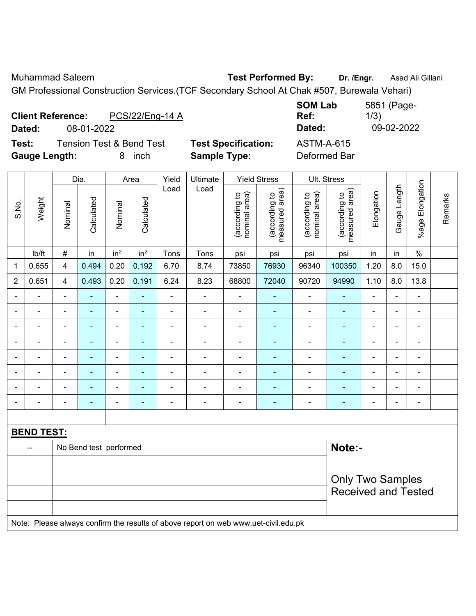Muhammad Saleem **Test Performed By: Dr. /Engr.** Asad Ali Gillani

GM Professional Construction Services.(TCF Secondary School At Chak #507, Burewala Vehari)

| <b>Client Reference:</b>                                                  | PCS/22/Eng-14 A                                                  | <b>SOM Lab</b>                    | 5851 (Page- |
|---------------------------------------------------------------------------|------------------------------------------------------------------|-----------------------------------|-------------|
| 08-01-2022                                                                |                                                                  | Ref:                              | 1/3)        |
| Dated:                                                                    |                                                                  | Dated:                            | 09-02-2022  |
| <b>Tension Test &amp; Bend Test</b><br>Test:<br><b>Gauge Length:</b><br>8 | <b>Test Specification:</b><br><b>Sample Type:</b><br><i>inch</i> | <b>ASTM-A-615</b><br>Deformed Bar |             |

|                          |                   |                         | Dia.                     |                 | Area                     | Yield          | Ultimate                                                                            |                                | <b>Yield Stress</b>             |                                | Ult. Stress                     |                          |                          |                          |         |
|--------------------------|-------------------|-------------------------|--------------------------|-----------------|--------------------------|----------------|-------------------------------------------------------------------------------------|--------------------------------|---------------------------------|--------------------------------|---------------------------------|--------------------------|--------------------------|--------------------------|---------|
| S.No.                    | Weight            | Nominal                 | Calculated               | Nominal         | Calculated               | Load           | Load                                                                                | nominal area)<br>(according to | (according to<br>measured area) | nominal area)<br>(according to | (according to<br>measured area) | Elongation               | Gauge Length             | %age Elongation          | Remarks |
|                          | Ib/ft             | $\#$                    | in                       | in <sup>2</sup> | in <sup>2</sup>          | Tons           | Tons                                                                                | psi                            | psi                             | psi                            | psi                             | in                       | in                       | $\%$                     |         |
| 1                        | 0.655             | 4                       | 0.494                    | 0.20            | 0.192                    | 6.70           | 8.74                                                                                | 73850                          | 76930                           | 96340                          | 100350                          | 1.20                     | 8.0                      | 15.0                     |         |
| $\overline{2}$           | 0.651             | 4                       | 0.493                    | 0.20            | 0.191                    | 6.24           | 8.23                                                                                | 68800                          | 72040                           | 90720                          | 94990                           | 1.10                     | 8.0                      | 13.8                     |         |
| $\blacksquare$           | ä,                | $\blacksquare$          | $\blacksquare$           | ÷,              | ä,                       | $\blacksquare$ | $\blacksquare$                                                                      | $\blacksquare$                 | $\overline{\phantom{a}}$        | $\blacksquare$                 | $\blacksquare$                  | $\blacksquare$           | $\blacksquare$           | $\blacksquare$           |         |
| $\overline{\phantom{0}}$ | ÷                 | $\blacksquare$          | ٠                        | ۰               | $\blacksquare$           | $\blacksquare$ | $\blacksquare$                                                                      | $\overline{\phantom{a}}$       | $\blacksquare$                  | $\blacksquare$                 | $\blacksquare$                  | $\blacksquare$           | $\overline{\phantom{a}}$ | $\overline{\phantom{a}}$ |         |
| $\blacksquare$           | $\blacksquare$    | $\blacksquare$          | ٠                        | ÷,              | $\blacksquare$           | Ē,             | ä,                                                                                  | $\blacksquare$                 | $\overline{\phantom{a}}$        | $\blacksquare$                 | $\blacksquare$                  | $\blacksquare$           | $\blacksquare$           | ä,                       |         |
|                          | $\blacksquare$    | $\blacksquare$          | ä,                       | $\blacksquare$  | $\overline{\phantom{a}}$ | $\blacksquare$ | $\blacksquare$                                                                      | $\blacksquare$                 | $\blacksquare$                  | $\blacksquare$                 | $\blacksquare$                  | $\blacksquare$           | ÷                        | ä,                       |         |
|                          | $\blacksquare$    | ä,                      | $\blacksquare$           | Ĭ.              | ÷                        | L,             | $\blacksquare$                                                                      | ÷,                             | $\blacksquare$                  | ÷                              | $\blacksquare$                  | $\blacksquare$           | ÷                        | ÷                        |         |
|                          |                   |                         |                          | $\blacksquare$  |                          |                |                                                                                     |                                |                                 |                                |                                 |                          | $\blacksquare$           | $\blacksquare$           |         |
|                          | $\blacksquare$    |                         |                          | ÷               |                          |                | $\blacksquare$                                                                      | $\blacksquare$                 | $\blacksquare$                  | $\overline{a}$                 |                                 |                          | $\blacksquare$           | $\blacksquare$           |         |
| $\overline{\phantom{0}}$ | $\blacksquare$    | $\blacksquare$          | $\overline{\phantom{0}}$ | ۰               | ٠                        | ٠              | $\overline{\phantom{a}}$                                                            | $\blacksquare$                 | $\overline{\phantom{a}}$        | $\overline{\phantom{0}}$       | $\blacksquare$                  | $\overline{\phantom{0}}$ | ÷                        | $\overline{\phantom{a}}$ |         |
|                          |                   |                         |                          |                 |                          |                |                                                                                     |                                |                                 |                                |                                 |                          |                          |                          |         |
|                          | <b>BEND TEST:</b> |                         |                          |                 |                          |                |                                                                                     |                                |                                 |                                |                                 |                          |                          |                          |         |
|                          | --                |                         | No Bend test performed   |                 |                          |                |                                                                                     |                                |                                 |                                | Note:-                          |                          |                          |                          |         |
|                          |                   |                         |                          |                 |                          |                |                                                                                     |                                |                                 |                                |                                 |                          |                          |                          |         |
|                          |                   | <b>Only Two Samples</b> |                          |                 |                          |                |                                                                                     |                                |                                 |                                |                                 |                          |                          |                          |         |
|                          |                   |                         |                          |                 |                          |                |                                                                                     |                                |                                 |                                | <b>Received and Tested</b>      |                          |                          |                          |         |
|                          |                   |                         |                          |                 |                          |                | Note: Please always confirm the results of above report on web www.uet-civil.edu.pk |                                |                                 |                                |                                 |                          |                          |                          |         |